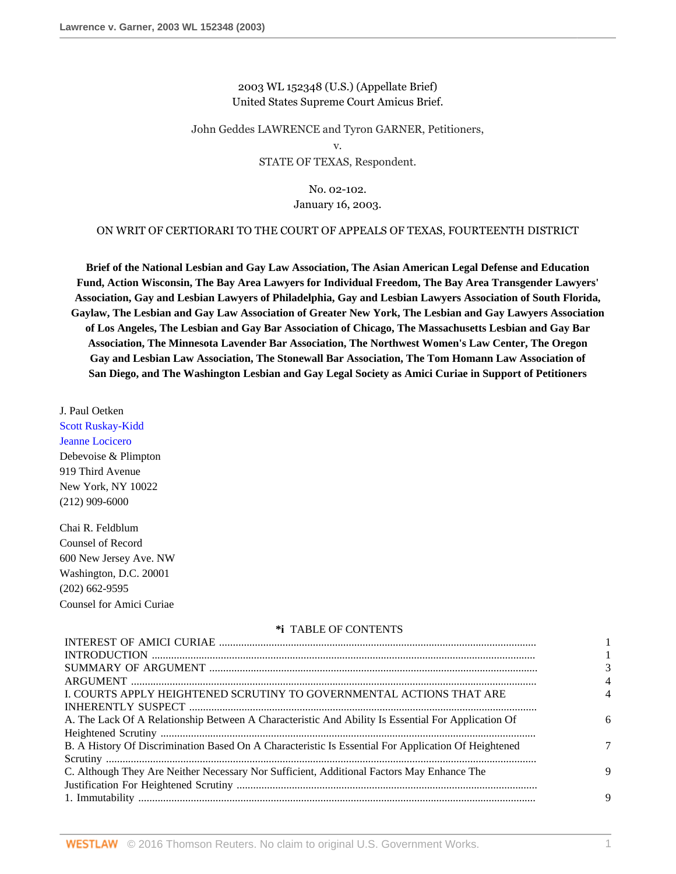## 2003 WL 152348 (U.S.) (Appellate Brief) United States Supreme Court Amicus Brief.

John Geddes LAWRENCE and Tyron GARNER, Petitioners,

v.

## STATE OF TEXAS, Respondent.

# No. 02-102.

## January 16, 2003.

## ON WRIT OF CERTIORARI TO THE COURT OF APPEALS OF TEXAS, FOURTEENTH DISTRICT

**Brief of the National Lesbian and Gay Law Association, The Asian American Legal Defense and Education Fund, Action Wisconsin, The Bay Area Lawyers for Individual Freedom, The Bay Area Transgender Lawyers' Association, Gay and Lesbian Lawyers of Philadelphia, Gay and Lesbian Lawyers Association of South Florida, Gaylaw, The Lesbian and Gay Law Association of Greater New York, The Lesbian and Gay Lawyers Association of Los Angeles, The Lesbian and Gay Bar Association of Chicago, The Massachusetts Lesbian and Gay Bar Association, The Minnesota Lavender Bar Association, The Northwest Women's Law Center, The Oregon Gay and Lesbian Law Association, The Stonewall Bar Association, The Tom Homann Law Association of San Diego, and The Washington Lesbian and Gay Legal Society as Amici Curiae in Support of Petitioners**

J. Paul Oetken

[Scott Ruskay-Kidd](http://www.westlaw.com/Link/Document/FullText?findType=h&pubNum=176284&cite=0357539701&originatingDoc=I6d8184796bef11d890d59dc2e0cf7bd4&refType=RQ&originationContext=document&vr=3.0&rs=cblt1.0&transitionType=DocumentItem&contextData=(sc.RelatedInfo)) [Jeanne Locicero](http://www.westlaw.com/Link/Document/FullText?findType=h&pubNum=176284&cite=0327713901&originatingDoc=I6d8184796bef11d890d59dc2e0cf7bd4&refType=RQ&originationContext=document&vr=3.0&rs=cblt1.0&transitionType=DocumentItem&contextData=(sc.RelatedInfo))

Debevoise & Plimpton 919 Third Avenue New York, NY 10022 (212) 909-6000

Chai R. Feldblum Counsel of Record 600 New Jersey Ave. NW Washington, D.C. 20001 (202) 662-9595 Counsel for Amici Curiae

#### **\*i** TABLE OF CONTENTS

| I. COURTS APPLY HEIGHTENED SCRUTINY TO GOVERNMENTAL ACTIONS THAT ARE                                |   |
|-----------------------------------------------------------------------------------------------------|---|
|                                                                                                     |   |
| A. The Lack Of A Relationship Between A Characteristic And Ability Is Essential For Application Of  |   |
|                                                                                                     |   |
| B. A History Of Discrimination Based On A Characteristic Is Essential For Application Of Heightened |   |
|                                                                                                     |   |
| C. Although They Are Neither Necessary Nor Sufficient, Additional Factors May Enhance The           | 9 |
|                                                                                                     |   |
|                                                                                                     |   |
|                                                                                                     |   |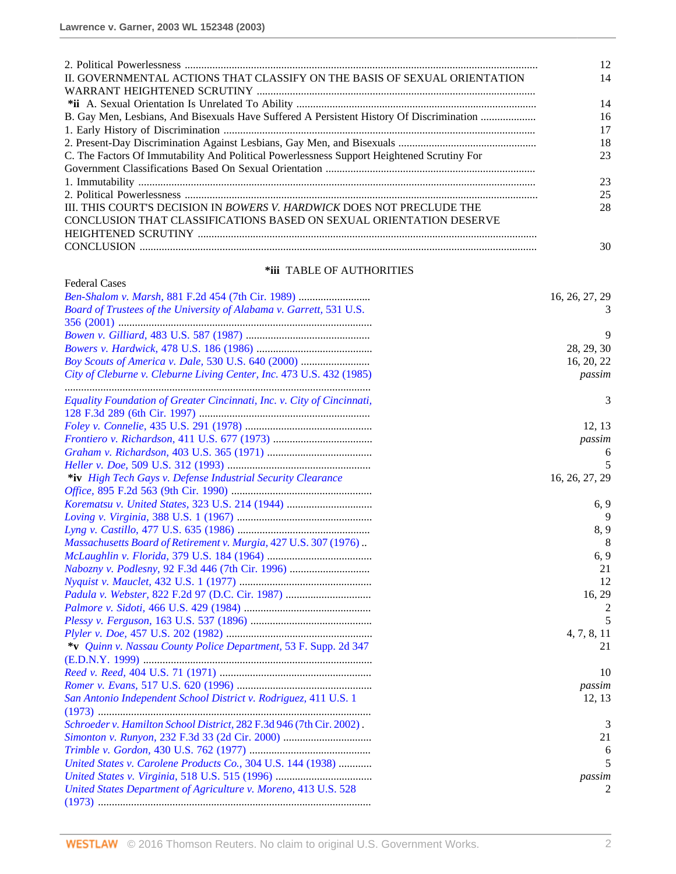|                                                                                            | 12 |
|--------------------------------------------------------------------------------------------|----|
| II. GOVERNMENTAL ACTIONS THAT CLASSIFY ON THE BASIS OF SEXUAL ORIENTATION                  | 14 |
|                                                                                            |    |
|                                                                                            | 14 |
| B. Gay Men, Lesbians, And Bisexuals Have Suffered A Persistent History Of Discrimination   | 16 |
|                                                                                            | 17 |
|                                                                                            | 18 |
| C. The Factors Of Immutability And Political Powerlessness Support Heightened Scrutiny For | 23 |
|                                                                                            |    |
|                                                                                            | 23 |
|                                                                                            | 25 |
| III. THIS COURT'S DECISION IN <i>BOWERS V. HARDWICK</i> DOES NOT PRECLUDE THE              | 28 |
| CONCLUSION THAT CLASSIFICATIONS BASED ON SEXUAL ORIENTATION DESERVE                        |    |
|                                                                                            |    |
|                                                                                            | 30 |

## **\*iii** TABLE OF AUTHORITIES

| <b>Federal Cases</b>                                                   |                |
|------------------------------------------------------------------------|----------------|
| Ben-Shalom v. Marsh, 881 F.2d 454 (7th Cir. 1989)                      | 16, 26, 27, 29 |
| Board of Trustees of the University of Alabama v. Garrett, 531 U.S.    |                |
|                                                                        |                |
|                                                                        | 9              |
|                                                                        | 28, 29, 30     |
| Boy Scouts of America v. Dale, 530 U.S. 640 (2000)                     | 16, 20, 22     |
| City of Cleburne v. Cleburne Living Center, Inc. 473 U.S. 432 (1985)   | passim         |
| Equality Foundation of Greater Cincinnati, Inc. v. City of Cincinnati, | 3              |
|                                                                        |                |
|                                                                        | 12, 13         |
|                                                                        | passim         |
|                                                                        | 6              |
|                                                                        | 5              |
| *iv High Tech Gays v. Defense Industrial Security Clearance            | 16, 26, 27, 29 |
|                                                                        |                |
|                                                                        | 6, 9           |
|                                                                        | 9              |
|                                                                        | 8,9            |
| Massachusetts Board of Retirement v. Murgia, 427 U.S. 307 (1976).      | 8              |
|                                                                        | 6, 9           |
|                                                                        | 21             |
|                                                                        | 12             |
| Padula v. Webster, 822 F.2d 97 (D.C. Cir. 1987)                        | 16, 29         |
|                                                                        | 2              |
|                                                                        | 5              |
|                                                                        | 4, 7, 8, 11    |
| *v Quinn v. Nassau County Police Department, 53 F. Supp. 2d 347        | 21             |
|                                                                        |                |
|                                                                        | 10             |
|                                                                        | passim         |
| San Antonio Independent School District v. Rodriguez, 411 U.S. 1       | 12, 13         |
|                                                                        |                |
| Schroeder v. Hamilton School District, 282 F.3d 946 (7th Cir. 2002).   | 3              |
|                                                                        | 21             |
|                                                                        | 6              |
| United States v. Carolene Products Co., 304 U.S. 144 (1938)            | 5              |
|                                                                        | passim         |
| United States Department of Agriculture v. Moreno, 413 U.S. 528        | 2              |
|                                                                        |                |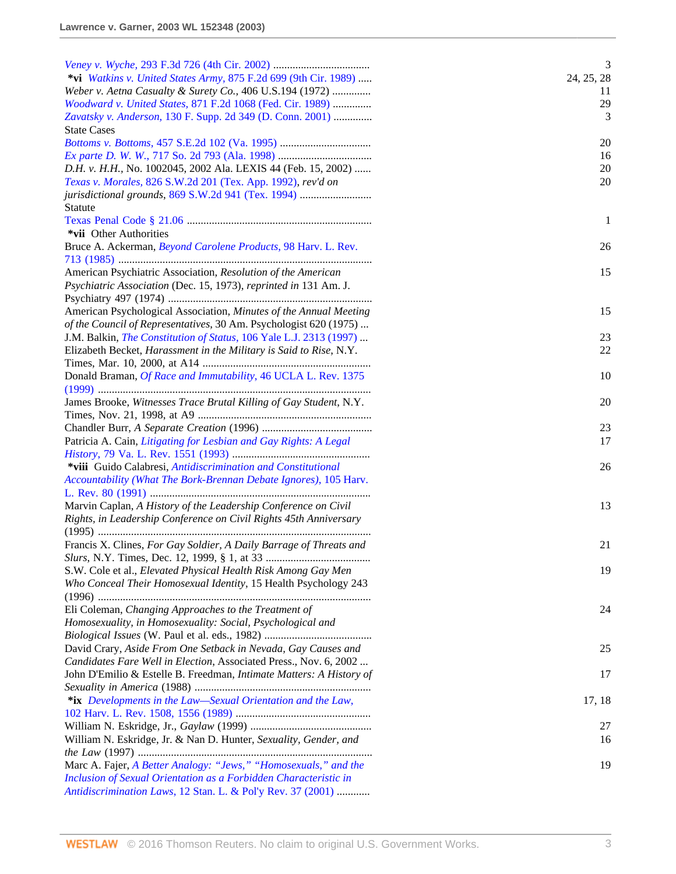|                                                                                                                                  | 3          |
|----------------------------------------------------------------------------------------------------------------------------------|------------|
| *vi Watkins v. United States Army, 875 F.2d 699 (9th Cir. 1989)                                                                  | 24, 25, 28 |
| Weber v. Aetna Casualty & Surety Co., 406 U.S.194 (1972)                                                                         | 11         |
| Woodward v. United States, 871 F.2d 1068 (Fed. Cir. 1989)                                                                        | 29         |
| Zavatsky v. Anderson, 130 F. Supp. 2d 349 (D. Conn. 2001)                                                                        | 3          |
| <b>State Cases</b>                                                                                                               |            |
|                                                                                                                                  | 20<br>16   |
| D.H. v. H.H., No. 1002045, 2002 Ala. LEXIS 44 (Feb. 15, 2002)                                                                    | 20         |
| Texas v. Morales, 826 S.W.2d 201 (Tex. App. 1992), rev'd on                                                                      | 20         |
| jurisdictional grounds, 869 S.W.2d 941 (Tex. 1994)                                                                               |            |
| Statute                                                                                                                          |            |
|                                                                                                                                  | -1         |
| *vii Other Authorities                                                                                                           |            |
| Bruce A. Ackerman, Beyond Carolene Products, 98 Harv. L. Rev.                                                                    | 26         |
|                                                                                                                                  |            |
| American Psychiatric Association, Resolution of the American                                                                     | 15         |
| Psychiatric Association (Dec. 15, 1973), reprinted in 131 Am. J.                                                                 |            |
|                                                                                                                                  |            |
| American Psychological Association, Minutes of the Annual Meeting                                                                | 15         |
| of the Council of Representatives, 30 Am. Psychologist 620 (1975)                                                                |            |
| J.M. Balkin, <i>The Constitution of Status</i> , 106 Yale L.J. 2313 (1997)                                                       | 23         |
| Elizabeth Becket, Harassment in the Military is Said to Rise, N.Y.                                                               | 22         |
|                                                                                                                                  |            |
| Donald Braman, Of Race and Immutability, 46 UCLA L. Rev. 1375                                                                    | 10         |
|                                                                                                                                  |            |
| James Brooke, Witnesses Trace Brutal Killing of Gay Student, N.Y.                                                                | 20         |
|                                                                                                                                  |            |
|                                                                                                                                  | 23         |
| Patricia A. Cain, Litigating for Lesbian and Gay Rights: A Legal                                                                 | 17         |
|                                                                                                                                  |            |
| *viii Guido Calabresi, Antidiscrimination and Constitutional                                                                     | 26         |
| Accountability (What The Bork-Brennan Debate Ignores), 105 Harv.                                                                 |            |
|                                                                                                                                  |            |
| Marvin Caplan, A History of the Leadership Conference on Civil                                                                   | 13         |
| Rights, in Leadership Conference on Civil Rights 45th Anniversary                                                                |            |
|                                                                                                                                  |            |
| Francis X. Clines, For Gay Soldier, A Daily Barrage of Threats and                                                               | 21         |
|                                                                                                                                  |            |
| S.W. Cole et al., Elevated Physical Health Risk Among Gay Men<br>Who Conceal Their Homosexual Identity, 15 Health Psychology 243 | 19         |
|                                                                                                                                  |            |
| Eli Coleman, Changing Approaches to the Treatment of                                                                             | 24         |
| Homosexuality, in Homosexuality: Social, Psychological and                                                                       |            |
|                                                                                                                                  |            |
| David Crary, Aside From One Setback in Nevada, Gay Causes and                                                                    | 25         |
| Candidates Fare Well in Election, Associated Press., Nov. 6, 2002                                                                |            |
| John D'Emilio & Estelle B. Freedman, Intimate Matters: A History of                                                              | 17         |
|                                                                                                                                  |            |
| *ix Developments in the Law—Sexual Orientation and the Law,                                                                      | 17, 18     |
|                                                                                                                                  |            |
|                                                                                                                                  | 27         |
| William N. Eskridge, Jr. & Nan D. Hunter, Sexuality, Gender, and                                                                 | 16         |
|                                                                                                                                  |            |
| Marc A. Fajer, A Better Analogy: "Jews," "Homosexuals," and the                                                                  | 19         |
| Inclusion of Sexual Orientation as a Forbidden Characteristic in                                                                 |            |
| Antidiscrimination Laws, 12 Stan. L. & Pol'y Rev. 37 (2001)                                                                      |            |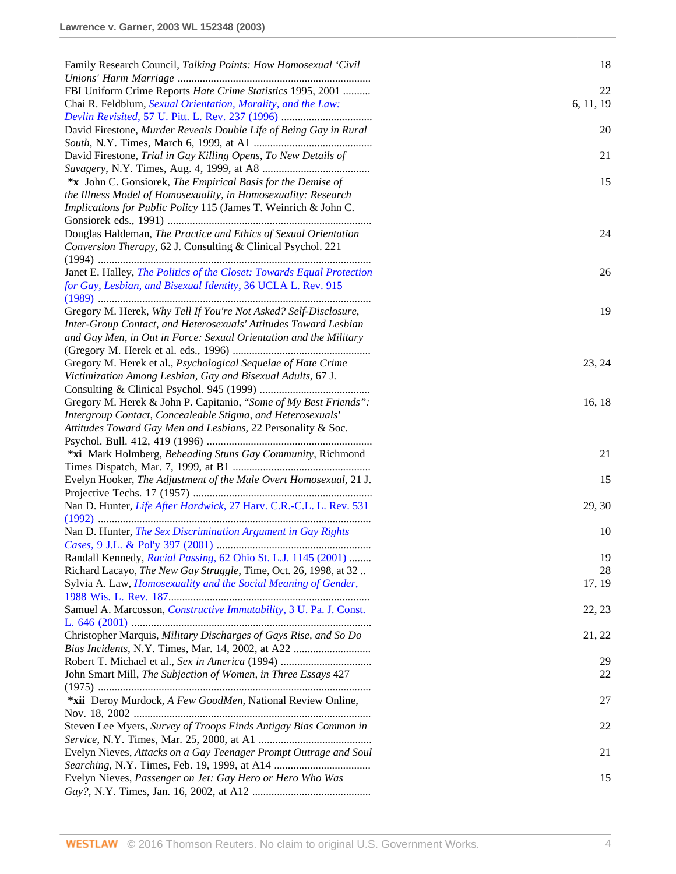| Family Research Council, Talking Points: How Homosexual 'Civil             | 18        |
|----------------------------------------------------------------------------|-----------|
|                                                                            |           |
| FBI Uniform Crime Reports Hate Crime Statistics 1995, 2001                 | 22        |
| Chai R. Feldblum, Sexual Orientation, Morality, and the Law:               | 6, 11, 19 |
|                                                                            |           |
| David Firestone, Murder Reveals Double Life of Being Gay in Rural          | 20        |
| David Firestone, Trial in Gay Killing Opens, To New Details of             | 21        |
|                                                                            |           |
| *x John C. Gonsiorek, The Empirical Basis for the Demise of                | 15        |
| the Illness Model of Homosexuality, in Homosexuality: Research             |           |
| Implications for Public Policy 115 (James T. Weinrich & John C.            |           |
|                                                                            |           |
| Douglas Haldeman, The Practice and Ethics of Sexual Orientation            | 24        |
| Conversion Therapy, 62 J. Consulting & Clinical Psychol. 221               |           |
|                                                                            |           |
| Janet E. Halley, The Politics of the Closet: Towards Equal Protection      | 26        |
| for Gay, Lesbian, and Bisexual Identity, 36 UCLA L. Rev. 915               |           |
|                                                                            |           |
| Gregory M. Herek, Why Tell If You're Not Asked? Self-Disclosure,           | 19        |
| Inter-Group Contact, and Heterosexuals' Attitudes Toward Lesbian           |           |
| and Gay Men, in Out in Force: Sexual Orientation and the Military          |           |
|                                                                            |           |
| Gregory M. Herek et al., Psychological Sequelae of Hate Crime              | 23, 24    |
| Victimization Among Lesbian, Gay and Bisexual Adults, 67 J.                |           |
|                                                                            |           |
| Gregory M. Herek & John P. Capitanio, "Some of My Best Friends":           | 16, 18    |
| Intergroup Contact, Concealeable Stigma, and Heterosexuals'                |           |
| Attitudes Toward Gay Men and Lesbians, 22 Personality & Soc.               |           |
|                                                                            |           |
| *xi Mark Holmberg, Beheading Stuns Gay Community, Richmond                 | 21        |
|                                                                            |           |
| Evelyn Hooker, The Adjustment of the Male Overt Homosexual, 21 J.          | 15        |
|                                                                            |           |
| Nan D. Hunter, Life After Hardwick, 27 Harv. C.R.-C.L. L. Rev. 531         | 29, 30    |
|                                                                            |           |
| Nan D. Hunter, The Sex Discrimination Argument in Gay Rights               | 10        |
|                                                                            |           |
| Randall Kennedy, Racial Passing, 62 Ohio St. L.J. 1145 (2001)              | 19        |
| Richard Lacayo, The New Gay Struggle, Time, Oct. 26, 1998, at 32.          | 28        |
| Sylvia A. Law, <i>Homosexuality and the Social Meaning of Gender</i> ,     | 17, 19    |
|                                                                            |           |
| Samuel A. Marcosson, <i>Constructive Immutability</i> , 3 U. Pa. J. Const. | 22, 23    |
|                                                                            |           |
| Christopher Marquis, Military Discharges of Gays Rise, and So Do           | 21, 22    |
|                                                                            |           |
|                                                                            | 29        |
| John Smart Mill, The Subjection of Women, in Three Essays 427              | 22        |
|                                                                            |           |
| *xii Deroy Murdock, A Few GoodMen, National Review Online,                 | 27        |
|                                                                            |           |
| Steven Lee Myers, Survey of Troops Finds Antigay Bias Common in            | 22        |
|                                                                            |           |
| Evelyn Nieves, Attacks on a Gay Teenager Prompt Outrage and Soul           | 21        |
|                                                                            |           |
| Evelyn Nieves, Passenger on Jet: Gay Hero or Hero Who Was                  | 15        |
|                                                                            |           |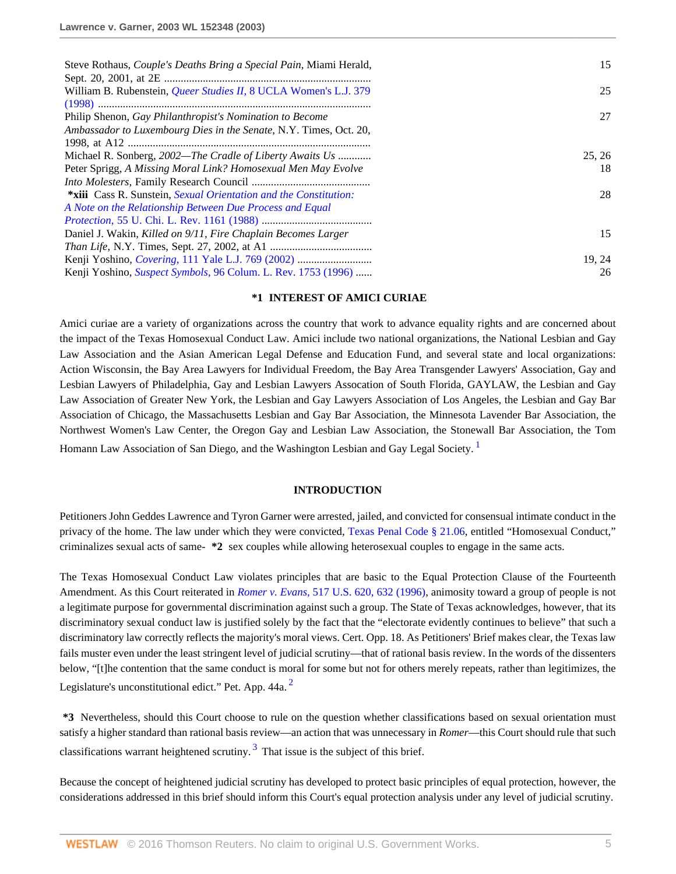| Steve Rothaus, <i>Couple's Deaths Bring a Special Pain</i> , Miami Herald, | 15     |
|----------------------------------------------------------------------------|--------|
|                                                                            |        |
| William B. Rubenstein, Queer Studies II, 8 UCLA Women's L.J. 379           | 25     |
|                                                                            |        |
| Philip Shenon, Gay Philanthropist's Nomination to Become                   | 27     |
| Ambassador to Luxembourg Dies in the Senate, N.Y. Times, Oct. 20,          |        |
|                                                                            |        |
| Michael R. Sonberg, 2002—The Cradle of Liberty Awaits Us                   | 25, 26 |
| Peter Sprigg, A Missing Moral Link? Homosexual Men May Evolve              | 18     |
|                                                                            |        |
| *xiii Cass R. Sunstein, Sexual Orientation and the Constitution:           | 28     |
| A Note on the Relationship Between Due Process and Equal                   |        |
|                                                                            |        |
| Daniel J. Wakin, Killed on 9/11, Fire Chaplain Becomes Larger              | 15     |
|                                                                            |        |
|                                                                            | 19, 24 |
| Kenji Yoshino, <i>Suspect Symbols</i> , 96 Colum. L. Rev. 1753 (1996)      | 26     |

### **\*1 INTEREST OF AMICI CURIAE**

Amici curiae are a variety of organizations across the country that work to advance equality rights and are concerned about the impact of the Texas Homosexual Conduct Law. Amici include two national organizations, the National Lesbian and Gay Law Association and the Asian American Legal Defense and Education Fund, and several state and local organizations: Action Wisconsin, the Bay Area Lawyers for Individual Freedom, the Bay Area Transgender Lawyers' Association, Gay and Lesbian Lawyers of Philadelphia, Gay and Lesbian Lawyers Assocation of South Florida, GAYLAW, the Lesbian and Gay Law Association of Greater New York, the Lesbian and Gay Lawyers Association of Los Angeles, the Lesbian and Gay Bar Association of Chicago, the Massachusetts Lesbian and Gay Bar Association, the Minnesota Lavender Bar Association, the Northwest Women's Law Center, the Oregon Gay and Lesbian Law Association, the Stonewall Bar Association, the Tom Homann Law Association of San Diego, and the Washington Lesbian and Gay Legal Society.<sup>[1](#page-15-0)</sup>

### <span id="page-4-1"></span><span id="page-4-0"></span>**INTRODUCTION**

Petitioners John Geddes Lawrence and Tyron Garner were arrested, jailed, and convicted for consensual intimate conduct in the privacy of the home. The law under which they were convicted, [Texas Penal Code § 21.06](http://www.westlaw.com/Link/Document/FullText?findType=L&pubNum=1000182&cite=TXPES21.06&originatingDoc=I6d8184796bef11d890d59dc2e0cf7bd4&refType=LQ&originationContext=document&vr=3.0&rs=cblt1.0&transitionType=DocumentItem&contextData=(sc.RelatedInfo)), entitled "Homosexual Conduct," criminalizes sexual acts of same- **\*2** sex couples while allowing heterosexual couples to engage in the same acts.

The Texas Homosexual Conduct Law violates principles that are basic to the Equal Protection Clause of the Fourteenth Amendment. As this Court reiterated in *Romer v. Evans,* [517 U.S. 620, 632 \(1996\),](http://www.westlaw.com/Link/Document/FullText?findType=Y&serNum=1996118409&pubNum=0000780&originatingDoc=I6d8184796bef11d890d59dc2e0cf7bd4&refType=RP&fi=co_pp_sp_780_632&originationContext=document&vr=3.0&rs=cblt1.0&transitionType=DocumentItem&contextData=(sc.RelatedInfo)#co_pp_sp_780_632) animosity toward a group of people is not a legitimate purpose for governmental discrimination against such a group. The State of Texas acknowledges, however, that its discriminatory sexual conduct law is justified solely by the fact that the "electorate evidently continues to believe" that such a discriminatory law correctly reflects the majority's moral views. Cert. Opp. 18. As Petitioners' Brief makes clear, the Texas law fails muster even under the least stringent level of judicial scrutiny—that of rational basis review. In the words of the dissenters below, "[t]he contention that the same conduct is moral for some but not for others merely repeats, rather than legitimizes, the Legislature's unconstitutional edict." Pet. App. 44a.<sup>[2](#page-15-1)</sup>

<span id="page-4-2"></span>**\*3** Nevertheless, should this Court choose to rule on the question whether classifications based on sexual orientation must satisfy a higher standard than rational basis review—an action that was unnecessary in *Romer*—this Court should rule that such classifications warrant heightened scrutiny.<sup>[3](#page-15-2)</sup> That issue is the subject of this brief.

Because the concept of heightened judicial scrutiny has developed to protect basic principles of equal protection, however, the considerations addressed in this brief should inform this Court's equal protection analysis under any level of judicial scrutiny.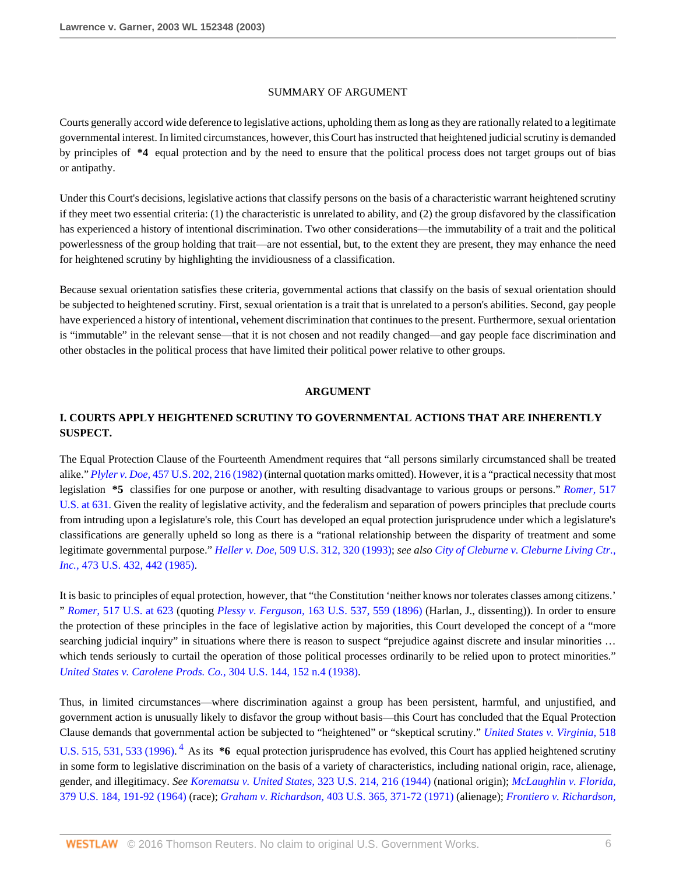#### SUMMARY OF ARGUMENT

Courts generally accord wide deference to legislative actions, upholding them as long as they are rationally related to a legitimate governmental interest. In limited circumstances, however, this Court has instructed that heightened judicial scrutiny is demanded by principles of **\*4** equal protection and by the need to ensure that the political process does not target groups out of bias or antipathy.

Under this Court's decisions, legislative actions that classify persons on the basis of a characteristic warrant heightened scrutiny if they meet two essential criteria: (1) the characteristic is unrelated to ability, and (2) the group disfavored by the classification has experienced a history of intentional discrimination. Two other considerations—the immutability of a trait and the political powerlessness of the group holding that trait—are not essential, but, to the extent they are present, they may enhance the need for heightened scrutiny by highlighting the invidiousness of a classification.

Because sexual orientation satisfies these criteria, governmental actions that classify on the basis of sexual orientation should be subjected to heightened scrutiny. First, sexual orientation is a trait that is unrelated to a person's abilities. Second, gay people have experienced a history of intentional, vehement discrimination that continues to the present. Furthermore, sexual orientation is "immutable" in the relevant sense—that it is not chosen and not readily changed—and gay people face discrimination and other obstacles in the political process that have limited their political power relative to other groups.

#### **ARGUMENT**

# **I. COURTS APPLY HEIGHTENED SCRUTINY TO GOVERNMENTAL ACTIONS THAT ARE INHERENTLY SUSPECT.**

The Equal Protection Clause of the Fourteenth Amendment requires that "all persons similarly circumstanced shall be treated alike." *Plyler v. Doe,* [457 U.S. 202, 216 \(1982\)](http://www.westlaw.com/Link/Document/FullText?findType=Y&serNum=1982126797&pubNum=0000780&originatingDoc=I6d8184796bef11d890d59dc2e0cf7bd4&refType=RP&fi=co_pp_sp_780_216&originationContext=document&vr=3.0&rs=cblt1.0&transitionType=DocumentItem&contextData=(sc.RelatedInfo)#co_pp_sp_780_216) (internal quotation marks omitted). However, it is a "practical necessity that most legislation **\*5** classifies for one purpose or another, with resulting disadvantage to various groups or persons." *[Romer](http://www.westlaw.com/Link/Document/FullText?findType=Y&serNum=1996118409&pubNum=780&originatingDoc=I6d8184796bef11d890d59dc2e0cf7bd4&refType=RP&fi=co_pp_sp_780_631&originationContext=document&vr=3.0&rs=cblt1.0&transitionType=DocumentItem&contextData=(sc.RelatedInfo)#co_pp_sp_780_631)*, 517 [U.S. at 631.](http://www.westlaw.com/Link/Document/FullText?findType=Y&serNum=1996118409&pubNum=780&originatingDoc=I6d8184796bef11d890d59dc2e0cf7bd4&refType=RP&fi=co_pp_sp_780_631&originationContext=document&vr=3.0&rs=cblt1.0&transitionType=DocumentItem&contextData=(sc.RelatedInfo)#co_pp_sp_780_631) Given the reality of legislative activity, and the federalism and separation of powers principles that preclude courts from intruding upon a legislature's role, this Court has developed an equal protection jurisprudence under which a legislature's classifications are generally upheld so long as there is a "rational relationship between the disparity of treatment and some legitimate governmental purpose." *Heller v. Doe,* [509 U.S. 312, 320 \(1993\);](http://www.westlaw.com/Link/Document/FullText?findType=Y&serNum=1993129064&pubNum=0000780&originatingDoc=I6d8184796bef11d890d59dc2e0cf7bd4&refType=RP&fi=co_pp_sp_780_320&originationContext=document&vr=3.0&rs=cblt1.0&transitionType=DocumentItem&contextData=(sc.RelatedInfo)#co_pp_sp_780_320) *see also [City of Cleburne v. Cleburne Living Ctr.,](http://www.westlaw.com/Link/Document/FullText?findType=Y&serNum=1985133474&pubNum=0000780&originatingDoc=I6d8184796bef11d890d59dc2e0cf7bd4&refType=RP&fi=co_pp_sp_780_442&originationContext=document&vr=3.0&rs=cblt1.0&transitionType=DocumentItem&contextData=(sc.RelatedInfo)#co_pp_sp_780_442) Inc.,* [473 U.S. 432, 442 \(1985\)](http://www.westlaw.com/Link/Document/FullText?findType=Y&serNum=1985133474&pubNum=0000780&originatingDoc=I6d8184796bef11d890d59dc2e0cf7bd4&refType=RP&fi=co_pp_sp_780_442&originationContext=document&vr=3.0&rs=cblt1.0&transitionType=DocumentItem&contextData=(sc.RelatedInfo)#co_pp_sp_780_442).

It is basic to principles of equal protection, however, that "the Constitution 'neither knows nor tolerates classes among citizens.' " *Romer*[, 517 U.S. at 623](http://www.westlaw.com/Link/Document/FullText?findType=Y&serNum=1996118409&pubNum=0000780&originatingDoc=I6d8184796bef11d890d59dc2e0cf7bd4&refType=RP&fi=co_pp_sp_780_623&originationContext=document&vr=3.0&rs=cblt1.0&transitionType=DocumentItem&contextData=(sc.RelatedInfo)#co_pp_sp_780_623) (quoting *Plessy v. Ferguson,* [163 U.S. 537, 559 \(1896\)](http://www.westlaw.com/Link/Document/FullText?findType=Y&serNum=1896180043&pubNum=0000780&originatingDoc=I6d8184796bef11d890d59dc2e0cf7bd4&refType=RP&fi=co_pp_sp_780_559&originationContext=document&vr=3.0&rs=cblt1.0&transitionType=DocumentItem&contextData=(sc.RelatedInfo)#co_pp_sp_780_559) (Harlan, J., dissenting)). In order to ensure the protection of these principles in the face of legislative action by majorities, this Court developed the concept of a "more searching judicial inquiry" in situations where there is reason to suspect "prejudice against discrete and insular minorities ... which tends seriously to curtail the operation of those political processes ordinarily to be relied upon to protect minorities." *[United States v. Carolene Prods. Co.,](http://www.westlaw.com/Link/Document/FullText?findType=Y&serNum=1938122797&pubNum=0000780&originatingDoc=I6d8184796bef11d890d59dc2e0cf7bd4&refType=RP&fi=co_pp_sp_780_152&originationContext=document&vr=3.0&rs=cblt1.0&transitionType=DocumentItem&contextData=(sc.RelatedInfo)#co_pp_sp_780_152)* 304 U.S. 144, 152 n.4 (1938).

<span id="page-5-0"></span>Thus, in limited circumstances—where discrimination against a group has been persistent, harmful, and unjustified, and government action is unusually likely to disfavor the group without basis—this Court has concluded that the Equal Protection Clause demands that governmental action be subjected to "heightened" or "skeptical scrutiny." *[United States v. Virginia,](http://www.westlaw.com/Link/Document/FullText?findType=Y&serNum=1996141696&pubNum=0000780&originatingDoc=I6d8184796bef11d890d59dc2e0cf7bd4&refType=RP&fi=co_pp_sp_780_531&originationContext=document&vr=3.0&rs=cblt1.0&transitionType=DocumentItem&contextData=(sc.RelatedInfo)#co_pp_sp_780_531)* 518 [U.S. 515, 531, 533 \(1996\).](http://www.westlaw.com/Link/Document/FullText?findType=Y&serNum=1996141696&pubNum=0000780&originatingDoc=I6d8184796bef11d890d59dc2e0cf7bd4&refType=RP&fi=co_pp_sp_780_531&originationContext=document&vr=3.0&rs=cblt1.0&transitionType=DocumentItem&contextData=(sc.RelatedInfo)#co_pp_sp_780_531)<sup>[4](#page-15-3)</sup> As its  $*6$  equal protection jurisprudence has evolved, this Court has applied heightened scrutiny in some form to legislative discrimination on the basis of a variety of characteristics, including national origin, race, alienage, gender, and illegitimacy. *See [Korematsu v. United States,](http://www.westlaw.com/Link/Document/FullText?findType=Y&serNum=1944118365&pubNum=0000780&originatingDoc=I6d8184796bef11d890d59dc2e0cf7bd4&refType=RP&fi=co_pp_sp_780_216&originationContext=document&vr=3.0&rs=cblt1.0&transitionType=DocumentItem&contextData=(sc.RelatedInfo)#co_pp_sp_780_216)* 323 U.S. 214, 216 (1944) (national origin); *[McLaughlin v. Florida,](http://www.westlaw.com/Link/Document/FullText?findType=Y&serNum=1964124890&pubNum=0000780&originatingDoc=I6d8184796bef11d890d59dc2e0cf7bd4&refType=RP&fi=co_pp_sp_780_191&originationContext=document&vr=3.0&rs=cblt1.0&transitionType=DocumentItem&contextData=(sc.RelatedInfo)#co_pp_sp_780_191)* [379 U.S. 184, 191-92 \(1964\)](http://www.westlaw.com/Link/Document/FullText?findType=Y&serNum=1964124890&pubNum=0000780&originatingDoc=I6d8184796bef11d890d59dc2e0cf7bd4&refType=RP&fi=co_pp_sp_780_191&originationContext=document&vr=3.0&rs=cblt1.0&transitionType=DocumentItem&contextData=(sc.RelatedInfo)#co_pp_sp_780_191) (race); *Graham v. Richardson,* [403 U.S. 365, 371-72 \(1971\)](http://www.westlaw.com/Link/Document/FullText?findType=Y&serNum=1971127095&pubNum=0000780&originatingDoc=I6d8184796bef11d890d59dc2e0cf7bd4&refType=RP&fi=co_pp_sp_780_371&originationContext=document&vr=3.0&rs=cblt1.0&transitionType=DocumentItem&contextData=(sc.RelatedInfo)#co_pp_sp_780_371) (alienage); *[Frontiero v. Richardson,](http://www.westlaw.com/Link/Document/FullText?findType=Y&serNum=1973126388&pubNum=0000780&originatingDoc=I6d8184796bef11d890d59dc2e0cf7bd4&refType=RP&fi=co_pp_sp_780_688&originationContext=document&vr=3.0&rs=cblt1.0&transitionType=DocumentItem&contextData=(sc.RelatedInfo)#co_pp_sp_780_688)*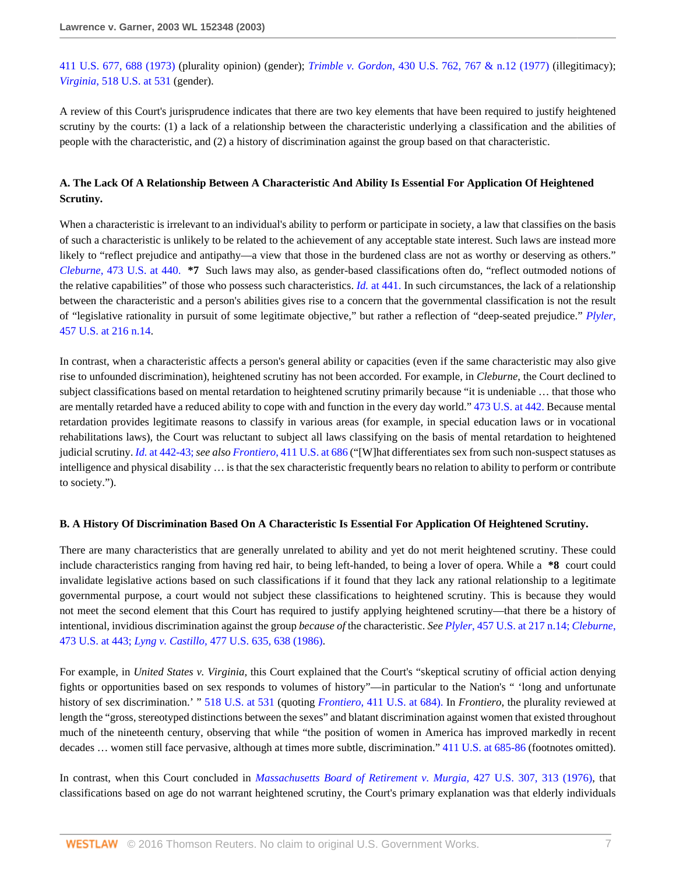[411 U.S. 677, 688 \(1973\)](http://www.westlaw.com/Link/Document/FullText?findType=Y&serNum=1973126388&pubNum=0000780&originatingDoc=I6d8184796bef11d890d59dc2e0cf7bd4&refType=RP&fi=co_pp_sp_780_688&originationContext=document&vr=3.0&rs=cblt1.0&transitionType=DocumentItem&contextData=(sc.RelatedInfo)#co_pp_sp_780_688) (plurality opinion) (gender); *Trimble v. Gordon,* [430 U.S. 762, 767 & n.12 \(1977\)](http://www.westlaw.com/Link/Document/FullText?findType=Y&serNum=1977118767&pubNum=0000780&originatingDoc=I6d8184796bef11d890d59dc2e0cf7bd4&refType=RP&fi=co_pp_sp_780_767&originationContext=document&vr=3.0&rs=cblt1.0&transitionType=DocumentItem&contextData=(sc.RelatedInfo)#co_pp_sp_780_767) (illegitimacy); *Virginia*[, 518 U.S. at 531](http://www.westlaw.com/Link/Document/FullText?findType=Y&serNum=1996141696&pubNum=780&originatingDoc=I6d8184796bef11d890d59dc2e0cf7bd4&refType=RP&fi=co_pp_sp_780_531&originationContext=document&vr=3.0&rs=cblt1.0&transitionType=DocumentItem&contextData=(sc.RelatedInfo)#co_pp_sp_780_531) (gender).

A review of this Court's jurisprudence indicates that there are two key elements that have been required to justify heightened scrutiny by the courts: (1) a lack of a relationship between the characteristic underlying a classification and the abilities of people with the characteristic, and (2) a history of discrimination against the group based on that characteristic.

## **A. The Lack Of A Relationship Between A Characteristic And Ability Is Essential For Application Of Heightened Scrutiny.**

When a characteristic is irrelevant to an individual's ability to perform or participate in society, a law that classifies on the basis of such a characteristic is unlikely to be related to the achievement of any acceptable state interest. Such laws are instead more likely to "reflect prejudice and antipathy—a view that those in the burdened class are not as worthy or deserving as others." *Cleburne*[, 473 U.S. at 440.](http://www.westlaw.com/Link/Document/FullText?findType=Y&serNum=1985133474&pubNum=780&originatingDoc=I6d8184796bef11d890d59dc2e0cf7bd4&refType=RP&fi=co_pp_sp_780_440&originationContext=document&vr=3.0&rs=cblt1.0&transitionType=DocumentItem&contextData=(sc.RelatedInfo)#co_pp_sp_780_440) **\*7** Such laws may also, as gender-based classifications often do, "reflect outmoded notions of the relative capabilities" of those who possess such characteristics. *Id.* [at 441.](http://www.westlaw.com/Link/Document/FullText?findType=Y&serNum=1985133474&originatingDoc=I6d8184796bef11d890d59dc2e0cf7bd4&refType=RP&originationContext=document&vr=3.0&rs=cblt1.0&transitionType=DocumentItem&contextData=(sc.RelatedInfo)) In such circumstances, the lack of a relationship between the characteristic and a person's abilities gives rise to a concern that the governmental classification is not the result of "legislative rationality in pursuit of some legitimate objective," but rather a reflection of "deep-seated prejudice." *[Plyler](http://www.westlaw.com/Link/Document/FullText?findType=Y&serNum=1982126797&pubNum=0000780&originatingDoc=I6d8184796bef11d890d59dc2e0cf7bd4&refType=RP&fi=co_pp_sp_780_216&originationContext=document&vr=3.0&rs=cblt1.0&transitionType=DocumentItem&contextData=(sc.RelatedInfo)#co_pp_sp_780_216)*, [457 U.S. at 216 n.14](http://www.westlaw.com/Link/Document/FullText?findType=Y&serNum=1982126797&pubNum=0000780&originatingDoc=I6d8184796bef11d890d59dc2e0cf7bd4&refType=RP&fi=co_pp_sp_780_216&originationContext=document&vr=3.0&rs=cblt1.0&transitionType=DocumentItem&contextData=(sc.RelatedInfo)#co_pp_sp_780_216).

In contrast, when a characteristic affects a person's general ability or capacities (even if the same characteristic may also give rise to unfounded discrimination), heightened scrutiny has not been accorded. For example, in *Cleburne*, the Court declined to subject classifications based on mental retardation to heightened scrutiny primarily because "it is undeniable … that those who are mentally retarded have a reduced ability to cope with and function in the every day world." [473 U.S. at 442.](http://www.westlaw.com/Link/Document/FullText?findType=Y&serNum=1985133474&pubNum=780&originatingDoc=I6d8184796bef11d890d59dc2e0cf7bd4&refType=RP&fi=co_pp_sp_780_442&originationContext=document&vr=3.0&rs=cblt1.0&transitionType=DocumentItem&contextData=(sc.RelatedInfo)#co_pp_sp_780_442) Because mental retardation provides legitimate reasons to classify in various areas (for example, in special education laws or in vocational rehabilitations laws), the Court was reluctant to subject all laws classifying on the basis of mental retardation to heightened judicial scrutiny. *Id.* [at 442-43;](http://www.westlaw.com/Link/Document/FullText?findType=Y&serNum=1985133474&originatingDoc=I6d8184796bef11d890d59dc2e0cf7bd4&refType=RP&originationContext=document&vr=3.0&rs=cblt1.0&transitionType=DocumentItem&contextData=(sc.RelatedInfo)) *see also Frontiero*[, 411 U.S. at 686](http://www.westlaw.com/Link/Document/FullText?findType=Y&serNum=1973126388&pubNum=0000780&originatingDoc=I6d8184796bef11d890d59dc2e0cf7bd4&refType=RP&fi=co_pp_sp_780_686&originationContext=document&vr=3.0&rs=cblt1.0&transitionType=DocumentItem&contextData=(sc.RelatedInfo)#co_pp_sp_780_686) ("[W]hat differentiates sex from such non-suspect statuses as intelligence and physical disability … is that the sex characteristic frequently bears no relation to ability to perform or contribute to society.").

#### **B. A History Of Discrimination Based On A Characteristic Is Essential For Application Of Heightened Scrutiny.**

There are many characteristics that are generally unrelated to ability and yet do not merit heightened scrutiny. These could include characteristics ranging from having red hair, to being left-handed, to being a lover of opera. While a **\*8** court could invalidate legislative actions based on such classifications if it found that they lack any rational relationship to a legitimate governmental purpose, a court would not subject these classifications to heightened scrutiny. This is because they would not meet the second element that this Court has required to justify applying heightened scrutiny—that there be a history of intentional, invidious discrimination against the group *because of* the characteristic. *See Plyler*[, 457 U.S. at 217 n.14;](http://www.westlaw.com/Link/Document/FullText?findType=Y&serNum=1982126797&pubNum=780&originatingDoc=I6d8184796bef11d890d59dc2e0cf7bd4&refType=RP&fi=co_pp_sp_780_217&originationContext=document&vr=3.0&rs=cblt1.0&transitionType=DocumentItem&contextData=(sc.RelatedInfo)#co_pp_sp_780_217) *[Cleburne](http://www.westlaw.com/Link/Document/FullText?findType=Y&serNum=1985133474&pubNum=780&originatingDoc=I6d8184796bef11d890d59dc2e0cf7bd4&refType=RP&fi=co_pp_sp_780_443&originationContext=document&vr=3.0&rs=cblt1.0&transitionType=DocumentItem&contextData=(sc.RelatedInfo)#co_pp_sp_780_443)*, [473 U.S. at 443;](http://www.westlaw.com/Link/Document/FullText?findType=Y&serNum=1985133474&pubNum=780&originatingDoc=I6d8184796bef11d890d59dc2e0cf7bd4&refType=RP&fi=co_pp_sp_780_443&originationContext=document&vr=3.0&rs=cblt1.0&transitionType=DocumentItem&contextData=(sc.RelatedInfo)#co_pp_sp_780_443) *Lyng v. Castillo,* [477 U.S. 635, 638 \(1986\)](http://www.westlaw.com/Link/Document/FullText?findType=Y&serNum=1986133081&pubNum=0000780&originatingDoc=I6d8184796bef11d890d59dc2e0cf7bd4&refType=RP&fi=co_pp_sp_780_638&originationContext=document&vr=3.0&rs=cblt1.0&transitionType=DocumentItem&contextData=(sc.RelatedInfo)#co_pp_sp_780_638).

For example, in *United States v. Virginia,* this Court explained that the Court's "skeptical scrutiny of official action denying fights or opportunities based on sex responds to volumes of history"—in particular to the Nation's " 'long and unfortunate history of sex discrimination.' " [518 U.S. at 531](http://www.westlaw.com/Link/Document/FullText?findType=Y&serNum=1996141696&pubNum=0000780&originatingDoc=I6d8184796bef11d890d59dc2e0cf7bd4&refType=RP&fi=co_pp_sp_780_531&originationContext=document&vr=3.0&rs=cblt1.0&transitionType=DocumentItem&contextData=(sc.RelatedInfo)#co_pp_sp_780_531) (quoting *Frontiero*[, 411 U.S. at 684\).](http://www.westlaw.com/Link/Document/FullText?findType=Y&serNum=1973126388&pubNum=780&originatingDoc=I6d8184796bef11d890d59dc2e0cf7bd4&refType=RP&fi=co_pp_sp_780_684&originationContext=document&vr=3.0&rs=cblt1.0&transitionType=DocumentItem&contextData=(sc.RelatedInfo)#co_pp_sp_780_684) In *Frontiero*, the plurality reviewed at length the "gross, stereotyped distinctions between the sexes" and blatant discrimination against women that existed throughout much of the nineteenth century, observing that while "the position of women in America has improved markedly in recent decades … women still face pervasive, although at times more subtle, discrimination." [411 U.S. at 685-86](http://www.westlaw.com/Link/Document/FullText?findType=Y&serNum=1973126388&pubNum=0000780&originatingDoc=I6d8184796bef11d890d59dc2e0cf7bd4&refType=RP&fi=co_pp_sp_780_685&originationContext=document&vr=3.0&rs=cblt1.0&transitionType=DocumentItem&contextData=(sc.RelatedInfo)#co_pp_sp_780_685) (footnotes omitted).

In contrast, when this Court concluded in *[Massachusetts Board of Retirement v. Murgia,](http://www.westlaw.com/Link/Document/FullText?findType=Y&serNum=1976142431&pubNum=0000780&originatingDoc=I6d8184796bef11d890d59dc2e0cf7bd4&refType=RP&fi=co_pp_sp_780_313&originationContext=document&vr=3.0&rs=cblt1.0&transitionType=DocumentItem&contextData=(sc.RelatedInfo)#co_pp_sp_780_313)* 427 U.S. 307, 313 (1976), that classifications based on age do not warrant heightened scrutiny, the Court's primary explanation was that elderly individuals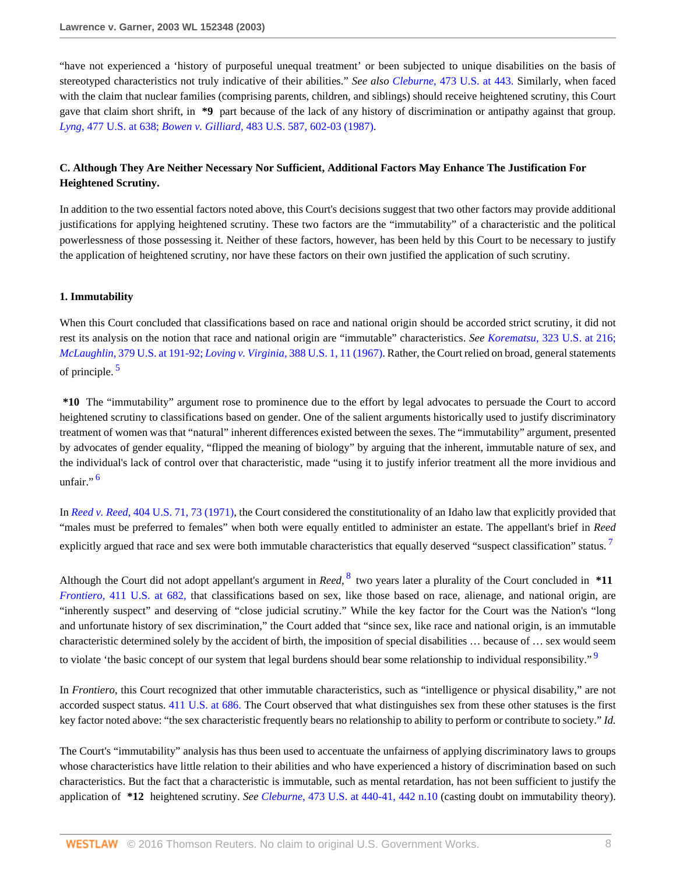"have not experienced a 'history of purposeful unequal treatment' or been subjected to unique disabilities on the basis of stereotyped characteristics not truly indicative of their abilities." *See also Cleburne*[, 473 U.S. at 443.](http://www.westlaw.com/Link/Document/FullText?findType=Y&serNum=1985133474&pubNum=780&originatingDoc=I6d8184796bef11d890d59dc2e0cf7bd4&refType=RP&fi=co_pp_sp_780_443&originationContext=document&vr=3.0&rs=cblt1.0&transitionType=DocumentItem&contextData=(sc.RelatedInfo)#co_pp_sp_780_443) Similarly, when faced with the claim that nuclear families (comprising parents, children, and siblings) should receive heightened scrutiny, this Court gave that claim short shrift, in **\*9** part because of the lack of any history of discrimination or antipathy against that group. *Lyng*[, 477 U.S. at 638;](http://www.westlaw.com/Link/Document/FullText?findType=Y&serNum=1986133081&pubNum=780&originatingDoc=I6d8184796bef11d890d59dc2e0cf7bd4&refType=RP&fi=co_pp_sp_780_638&originationContext=document&vr=3.0&rs=cblt1.0&transitionType=DocumentItem&contextData=(sc.RelatedInfo)#co_pp_sp_780_638) *Bowen v. Gilliard,* [483 U.S. 587, 602-03 \(1987\)](http://www.westlaw.com/Link/Document/FullText?findType=Y&serNum=1987079682&pubNum=0000780&originatingDoc=I6d8184796bef11d890d59dc2e0cf7bd4&refType=RP&fi=co_pp_sp_780_602&originationContext=document&vr=3.0&rs=cblt1.0&transitionType=DocumentItem&contextData=(sc.RelatedInfo)#co_pp_sp_780_602).

## **C. Although They Are Neither Necessary Nor Sufficient, Additional Factors May Enhance The Justification For Heightened Scrutiny.**

In addition to the two essential factors noted above, this Court's decisions suggest that two other factors may provide additional justifications for applying heightened scrutiny. These two factors are the "immutability" of a characteristic and the political powerlessness of those possessing it. Neither of these factors, however, has been held by this Court to be necessary to justify the application of heightened scrutiny, nor have these factors on their own justified the application of such scrutiny.

### **1. Immutability**

When this Court concluded that classifications based on race and national origin should be accorded strict scrutiny, it did not rest its analysis on the notion that race and national origin are "immutable" characteristics. *See Korematsu*[, 323 U.S. at 216;](http://www.westlaw.com/Link/Document/FullText?findType=Y&serNum=1944118365&pubNum=780&originatingDoc=I6d8184796bef11d890d59dc2e0cf7bd4&refType=RP&fi=co_pp_sp_780_216&originationContext=document&vr=3.0&rs=cblt1.0&transitionType=DocumentItem&contextData=(sc.RelatedInfo)#co_pp_sp_780_216) *McLaughlin*[, 379 U.S. at 191-92;](http://www.westlaw.com/Link/Document/FullText?findType=Y&serNum=1964124890&pubNum=780&originatingDoc=I6d8184796bef11d890d59dc2e0cf7bd4&refType=RP&fi=co_pp_sp_780_191&originationContext=document&vr=3.0&rs=cblt1.0&transitionType=DocumentItem&contextData=(sc.RelatedInfo)#co_pp_sp_780_191)*Loving v. Virginia,* [388 U.S. 1, 11 \(1967\).](http://www.westlaw.com/Link/Document/FullText?findType=Y&serNum=1967129542&pubNum=0000780&originatingDoc=I6d8184796bef11d890d59dc2e0cf7bd4&refType=RP&fi=co_pp_sp_780_11&originationContext=document&vr=3.0&rs=cblt1.0&transitionType=DocumentItem&contextData=(sc.RelatedInfo)#co_pp_sp_780_11) Rather, the Court relied on broad, general statements of principle. [5](#page-15-4)

<span id="page-7-0"></span>**\*10** The "immutability" argument rose to prominence due to the effort by legal advocates to persuade the Court to accord heightened scrutiny to classifications based on gender. One of the salient arguments historically used to justify discriminatory treatment of women was that "natural" inherent differences existed between the sexes. The "immutability" argument, presented by advocates of gender equality, "flipped the meaning of biology" by arguing that the inherent, immutable nature of sex, and the individual's lack of control over that characteristic, made "using it to justify inferior treatment all the more invidious and unfair." $\frac{6}{1}$  $\frac{6}{1}$  $\frac{6}{1}$ 

<span id="page-7-2"></span><span id="page-7-1"></span>In *Reed v. Reed,* [404 U.S. 71, 73 \(1971\),](http://www.westlaw.com/Link/Document/FullText?findType=Y&serNum=1971127135&pubNum=0000780&originatingDoc=I6d8184796bef11d890d59dc2e0cf7bd4&refType=RP&fi=co_pp_sp_780_73&originationContext=document&vr=3.0&rs=cblt1.0&transitionType=DocumentItem&contextData=(sc.RelatedInfo)#co_pp_sp_780_73) the Court considered the constitutionality of an Idaho law that explicitly provided that "males must be preferred to females" when both were equally entitled to administer an estate. The appellant's brief in *Reed* explicitly argued that race and sex were both immutable characteristics that equally deserved "suspect classification" status.<sup>[7](#page-15-6)</sup>

<span id="page-7-3"></span>Although the Court did not adopt appellant's argument in *Reed*, [8](#page-15-7) two years later a plurality of the Court concluded in **\*11** *Frontiero*[, 411 U.S. at 682,](http://www.westlaw.com/Link/Document/FullText?findType=Y&serNum=1973126388&pubNum=780&originatingDoc=I6d8184796bef11d890d59dc2e0cf7bd4&refType=RP&fi=co_pp_sp_780_682&originationContext=document&vr=3.0&rs=cblt1.0&transitionType=DocumentItem&contextData=(sc.RelatedInfo)#co_pp_sp_780_682) that classifications based on sex, like those based on race, alienage, and national origin, are "inherently suspect" and deserving of "close judicial scrutiny." While the key factor for the Court was the Nation's "long and unfortunate history of sex discrimination," the Court added that "since sex, like race and national origin, is an immutable characteristic determined solely by the accident of birth, the imposition of special disabilities … because of … sex would seem to violate 'the basic concept of our system that legal burdens should bear some relationship to individual responsibility."<sup>[9](#page-15-8)</sup>

<span id="page-7-4"></span>In *Frontiero*, this Court recognized that other immutable characteristics, such as "intelligence or physical disability," are not accorded suspect status. [411 U.S. at 686.](http://www.westlaw.com/Link/Document/FullText?findType=Y&serNum=1973126388&pubNum=780&originatingDoc=I6d8184796bef11d890d59dc2e0cf7bd4&refType=RP&fi=co_pp_sp_780_686&originationContext=document&vr=3.0&rs=cblt1.0&transitionType=DocumentItem&contextData=(sc.RelatedInfo)#co_pp_sp_780_686) The Court observed that what distinguishes sex from these other statuses is the first key factor noted above: "the sex characteristic frequently bears no relationship to ability to perform or contribute to society." *Id.*

The Court's "immutability" analysis has thus been used to accentuate the unfairness of applying discriminatory laws to groups whose characteristics have little relation to their abilities and who have experienced a history of discrimination based on such characteristics. But the fact that a characteristic is immutable, such as mental retardation, has not been sufficient to justify the application of **\*12** heightened scrutiny. *See Cleburne*[, 473 U.S. at 440-41, 442 n.10](http://www.westlaw.com/Link/Document/FullText?findType=Y&serNum=1985133474&pubNum=0000780&originatingDoc=I6d8184796bef11d890d59dc2e0cf7bd4&refType=RP&fi=co_pp_sp_780_440&originationContext=document&vr=3.0&rs=cblt1.0&transitionType=DocumentItem&contextData=(sc.RelatedInfo)#co_pp_sp_780_440) (casting doubt on immutability theory).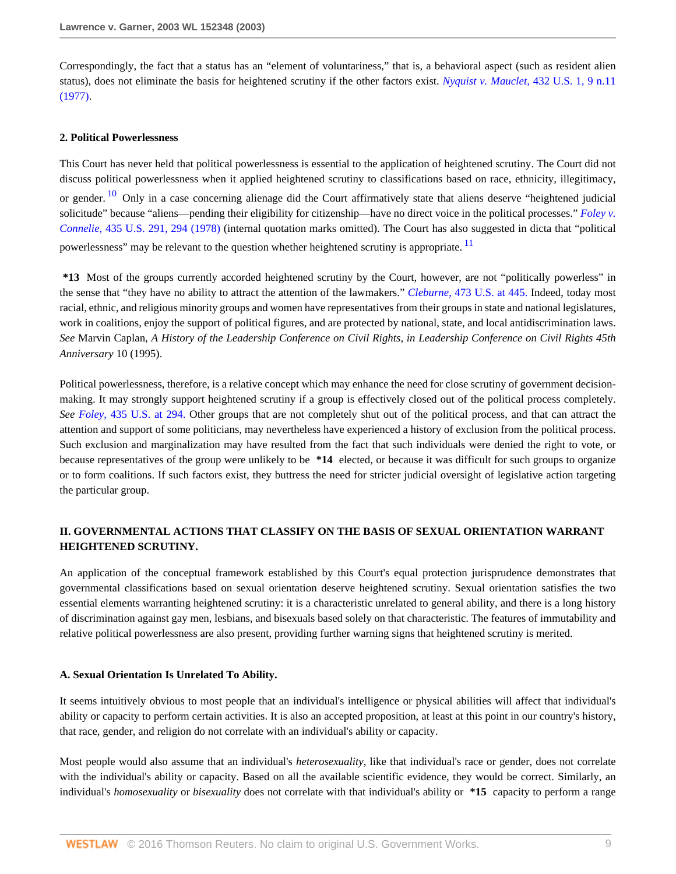Correspondingly, the fact that a status has an "element of voluntariness," that is, a behavioral aspect (such as resident alien status), does not eliminate the basis for heightened scrutiny if the other factors exist. *[Nyquist v. Mauclet,](http://www.westlaw.com/Link/Document/FullText?findType=Y&serNum=1977118804&pubNum=0000780&originatingDoc=I6d8184796bef11d890d59dc2e0cf7bd4&refType=RP&fi=co_pp_sp_780_9&originationContext=document&vr=3.0&rs=cblt1.0&transitionType=DocumentItem&contextData=(sc.RelatedInfo)#co_pp_sp_780_9)* 432 U.S. 1, 9 n.11 [\(1977\).](http://www.westlaw.com/Link/Document/FullText?findType=Y&serNum=1977118804&pubNum=0000780&originatingDoc=I6d8184796bef11d890d59dc2e0cf7bd4&refType=RP&fi=co_pp_sp_780_9&originationContext=document&vr=3.0&rs=cblt1.0&transitionType=DocumentItem&contextData=(sc.RelatedInfo)#co_pp_sp_780_9)

#### **2. Political Powerlessness**

<span id="page-8-0"></span>This Court has never held that political powerlessness is essential to the application of heightened scrutiny. The Court did not discuss political powerlessness when it applied heightened scrutiny to classifications based on race, ethnicity, illegitimacy, or gender. <sup>[10](#page-15-9)</sup> Only in a case concerning alienage did the Court affirmatively state that aliens deserve "heightened judicial solicitude" because "aliens—pending their eligibility for citizenship—have no direct voice in the political processes." *[Foley v.](http://www.westlaw.com/Link/Document/FullText?findType=Y&serNum=1978114203&pubNum=0000780&originatingDoc=I6d8184796bef11d890d59dc2e0cf7bd4&refType=RP&fi=co_pp_sp_780_294&originationContext=document&vr=3.0&rs=cblt1.0&transitionType=DocumentItem&contextData=(sc.RelatedInfo)#co_pp_sp_780_294) Connelie,* [435 U.S. 291, 294 \(1978\)](http://www.westlaw.com/Link/Document/FullText?findType=Y&serNum=1978114203&pubNum=0000780&originatingDoc=I6d8184796bef11d890d59dc2e0cf7bd4&refType=RP&fi=co_pp_sp_780_294&originationContext=document&vr=3.0&rs=cblt1.0&transitionType=DocumentItem&contextData=(sc.RelatedInfo)#co_pp_sp_780_294) (internal quotation marks omitted). The Court has also suggested in dicta that "political powerlessness" may be relevant to the question whether heightened scrutiny is appropriate. <sup>[11](#page-16-0)</sup>

<span id="page-8-1"></span>**\*13** Most of the groups currently accorded heightened scrutiny by the Court, however, are not "politically powerless" in the sense that "they have no ability to attract the attention of the lawmakers." *Cleburne*[, 473 U.S. at 445.](http://www.westlaw.com/Link/Document/FullText?findType=Y&serNum=1985133474&pubNum=780&originatingDoc=I6d8184796bef11d890d59dc2e0cf7bd4&refType=RP&fi=co_pp_sp_780_445&originationContext=document&vr=3.0&rs=cblt1.0&transitionType=DocumentItem&contextData=(sc.RelatedInfo)#co_pp_sp_780_445) Indeed, today most racial, ethnic, and religious minority groups and women have representatives from their groups in state and national legislatures, work in coalitions, enjoy the support of political figures, and are protected by national, state, and local antidiscrimination laws. *See* Marvin Caplan, *A History of the Leadership Conference on Civil Rights, in Leadership Conference on Civil Rights 45th Anniversary* 10 (1995).

Political powerlessness, therefore, is a relative concept which may enhance the need for close scrutiny of government decisionmaking. It may strongly support heightened scrutiny if a group is effectively closed out of the political process completely. *See Foley*[, 435 U.S. at 294.](http://www.westlaw.com/Link/Document/FullText?findType=Y&serNum=1978114203&pubNum=780&originatingDoc=I6d8184796bef11d890d59dc2e0cf7bd4&refType=RP&fi=co_pp_sp_780_294&originationContext=document&vr=3.0&rs=cblt1.0&transitionType=DocumentItem&contextData=(sc.RelatedInfo)#co_pp_sp_780_294) Other groups that are not completely shut out of the political process, and that can attract the attention and support of some politicians, may nevertheless have experienced a history of exclusion from the political process. Such exclusion and marginalization may have resulted from the fact that such individuals were denied the right to vote, or because representatives of the group were unlikely to be **\*14** elected, or because it was difficult for such groups to organize or to form coalitions. If such factors exist, they buttress the need for stricter judicial oversight of legislative action targeting the particular group.

## **II. GOVERNMENTAL ACTIONS THAT CLASSIFY ON THE BASIS OF SEXUAL ORIENTATION WARRANT HEIGHTENED SCRUTINY.**

An application of the conceptual framework established by this Court's equal protection jurisprudence demonstrates that governmental classifications based on sexual orientation deserve heightened scrutiny. Sexual orientation satisfies the two essential elements warranting heightened scrutiny: it is a characteristic unrelated to general ability, and there is a long history of discrimination against gay men, lesbians, and bisexuals based solely on that characteristic. The features of immutability and relative political powerlessness are also present, providing further warning signs that heightened scrutiny is merited.

#### **A. Sexual Orientation Is Unrelated To Ability.**

It seems intuitively obvious to most people that an individual's intelligence or physical abilities will affect that individual's ability or capacity to perform certain activities. It is also an accepted proposition, at least at this point in our country's history, that race, gender, and religion do not correlate with an individual's ability or capacity.

Most people would also assume that an individual's *heterosexuality*, like that individual's race or gender, does not correlate with the individual's ability or capacity. Based on all the available scientific evidence, they would be correct. Similarly, an individual's *homosexuality* or *bisexuality* does not correlate with that individual's ability or **\*15** capacity to perform a range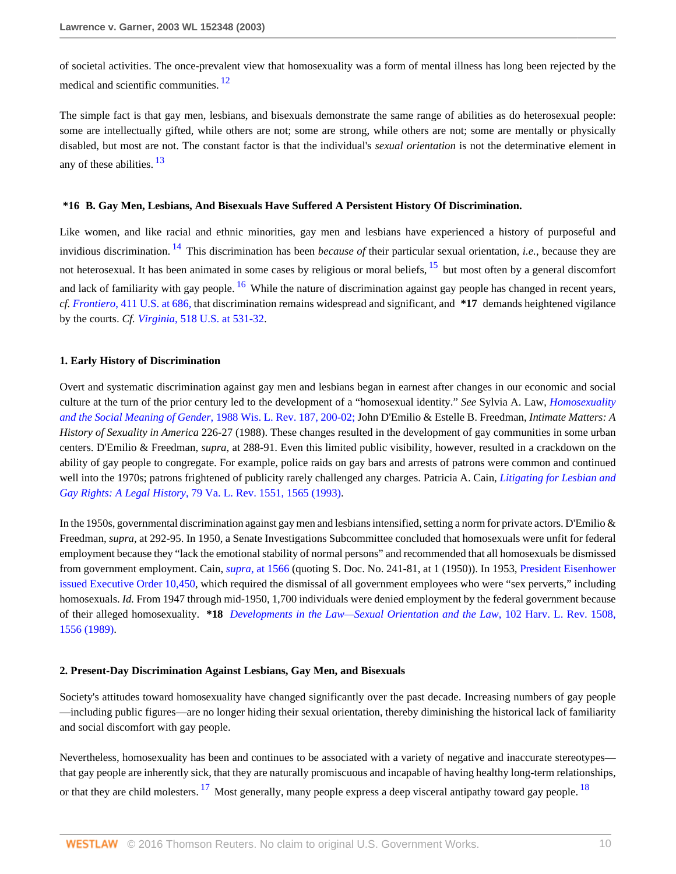<span id="page-9-0"></span>of societal activities. The once-prevalent view that homosexuality was a form of mental illness has long been rejected by the medical and scientific communities. <sup>[12](#page-16-1)</sup>

<span id="page-9-1"></span>The simple fact is that gay men, lesbians, and bisexuals demonstrate the same range of abilities as do heterosexual people: some are intellectually gifted, while others are not; some are strong, while others are not; some are mentally or physically disabled, but most are not. The constant factor is that the individual's *sexual orientation* is not the determinative element in any of these abilities. [13](#page-16-2)

#### <span id="page-9-3"></span>**\*16 B. Gay Men, Lesbians, And Bisexuals Have Suffered A Persistent History Of Discrimination.**

<span id="page-9-4"></span><span id="page-9-2"></span>Like women, and like racial and ethnic minorities, gay men and lesbians have experienced a history of purposeful and invidious discrimination. [14](#page-16-3) This discrimination has been *because of* their particular sexual orientation, *i.e.*, because they are not heterosexual. It has been animated in some cases by religious or moral beliefs, <sup>[15](#page-16-4)</sup> but most often by a general discomfort and lack of familiarity with gay people. <sup>[16](#page-16-5)</sup> While the nature of discrimination against gay people has changed in recent years, *cf. Frontiero*[, 411 U.S. at 686,](http://www.westlaw.com/Link/Document/FullText?findType=Y&serNum=1973126388&pubNum=780&originatingDoc=I6d8184796bef11d890d59dc2e0cf7bd4&refType=RP&fi=co_pp_sp_780_686&originationContext=document&vr=3.0&rs=cblt1.0&transitionType=DocumentItem&contextData=(sc.RelatedInfo)#co_pp_sp_780_686) that discrimination remains widespread and significant, and **\*17** demands heightened vigilance by the courts. *Cf. Virginia*[, 518 U.S. at 531-32](http://www.westlaw.com/Link/Document/FullText?findType=Y&serNum=1996141696&pubNum=0000780&originatingDoc=I6d8184796bef11d890d59dc2e0cf7bd4&refType=RP&fi=co_pp_sp_780_531&originationContext=document&vr=3.0&rs=cblt1.0&transitionType=DocumentItem&contextData=(sc.RelatedInfo)#co_pp_sp_780_531).

#### **1. Early History of Discrimination**

Overt and systematic discrimination against gay men and lesbians began in earnest after changes in our economic and social culture at the turn of the prior century led to the development of a "homosexual identity." *See* Sylvia A. Law, *[Homosexuality](http://www.westlaw.com/Link/Document/FullText?findType=Y&serNum=0101744199&pubNum=1290&originatingDoc=I6d8184796bef11d890d59dc2e0cf7bd4&refType=LR&fi=co_pp_sp_1290_200&originationContext=document&vr=3.0&rs=cblt1.0&transitionType=DocumentItem&contextData=(sc.RelatedInfo)#co_pp_sp_1290_200) [and the Social Meaning of Gender](http://www.westlaw.com/Link/Document/FullText?findType=Y&serNum=0101744199&pubNum=1290&originatingDoc=I6d8184796bef11d890d59dc2e0cf7bd4&refType=LR&fi=co_pp_sp_1290_200&originationContext=document&vr=3.0&rs=cblt1.0&transitionType=DocumentItem&contextData=(sc.RelatedInfo)#co_pp_sp_1290_200)*, 1988 Wis. L. Rev. 187, 200-02; John D'Emilio & Estelle B. Freedman, *Intimate Matters: A History of Sexuality in America* 226-27 (1988). These changes resulted in the development of gay communities in some urban centers. D'Emilio & Freedman, *supra*, at 288-91. Even this limited public visibility, however, resulted in a crackdown on the ability of gay people to congregate. For example, police raids on gay bars and arrests of patrons were common and continued well into the 1970s; patrons frightened of publicity rarely challenged any charges. Patricia A. Cain, *[Litigating for Lesbian and](http://www.westlaw.com/Link/Document/FullText?findType=Y&serNum=0103230422&pubNum=0001359&originatingDoc=I6d8184796bef11d890d59dc2e0cf7bd4&refType=LR&fi=co_pp_sp_1359_1565&originationContext=document&vr=3.0&rs=cblt1.0&transitionType=DocumentItem&contextData=(sc.RelatedInfo)#co_pp_sp_1359_1565) Gay Rights: A Legal History*[, 79 Va. L. Rev. 1551, 1565 \(1993\).](http://www.westlaw.com/Link/Document/FullText?findType=Y&serNum=0103230422&pubNum=0001359&originatingDoc=I6d8184796bef11d890d59dc2e0cf7bd4&refType=LR&fi=co_pp_sp_1359_1565&originationContext=document&vr=3.0&rs=cblt1.0&transitionType=DocumentItem&contextData=(sc.RelatedInfo)#co_pp_sp_1359_1565)

In the 1950s, governmental discrimination against gay men and lesbians intensified, setting a norm for private actors. D'Emilio & Freedman, *supra*, at 292-95. In 1950, a Senate Investigations Subcommittee concluded that homosexuals were unfit for federal employment because they "lack the emotional stability of normal persons" and recommended that all homosexuals be dismissed from government employment. Cain, *supra*[, at 1566](http://www.westlaw.com/Link/Document/FullText?findType=Y&serNum=0103230422&pubNum=0001359&originatingDoc=I6d8184796bef11d890d59dc2e0cf7bd4&refType=LR&fi=co_pp_sp_1359_1566&originationContext=document&vr=3.0&rs=cblt1.0&transitionType=DocumentItem&contextData=(sc.RelatedInfo)#co_pp_sp_1359_1566) (quoting S. Doc. No. 241-81, at 1 (1950)). In 1953, [President Eisenhower](http://www.westlaw.com/Link/Document/FullText?findType=Y&cite=EXECORDERNO10450&originatingDoc=I6d8184796bef11d890d59dc2e0cf7bd4&refType=DE&originationContext=document&vr=3.0&rs=cblt1.0&transitionType=DocumentItem&contextData=(sc.RelatedInfo)) [issued Executive Order 10,450,](http://www.westlaw.com/Link/Document/FullText?findType=Y&cite=EXECORDERNO10450&originatingDoc=I6d8184796bef11d890d59dc2e0cf7bd4&refType=DE&originationContext=document&vr=3.0&rs=cblt1.0&transitionType=DocumentItem&contextData=(sc.RelatedInfo)) which required the dismissal of all government employees who were "sex perverts," including homosexuals. *Id.* From 1947 through mid-1950, 1,700 individuals were denied employment by the federal government because of their alleged homosexuality. **\*18** *[Developments in the Law—Sexual Orientation and the Law](http://www.westlaw.com/Link/Document/FullText?findType=Y&serNum=0102734331&pubNum=0003084&originatingDoc=I6d8184796bef11d890d59dc2e0cf7bd4&refType=LR&fi=co_pp_sp_3084_1556&originationContext=document&vr=3.0&rs=cblt1.0&transitionType=DocumentItem&contextData=(sc.RelatedInfo)#co_pp_sp_3084_1556)*, 102 Harv. L. Rev. 1508, [1556 \(1989\)](http://www.westlaw.com/Link/Document/FullText?findType=Y&serNum=0102734331&pubNum=0003084&originatingDoc=I6d8184796bef11d890d59dc2e0cf7bd4&refType=LR&fi=co_pp_sp_3084_1556&originationContext=document&vr=3.0&rs=cblt1.0&transitionType=DocumentItem&contextData=(sc.RelatedInfo)#co_pp_sp_3084_1556).

### **2. Present-Day Discrimination Against Lesbians, Gay Men, and Bisexuals**

Society's attitudes toward homosexuality have changed significantly over the past decade. Increasing numbers of gay people —including public figures—are no longer hiding their sexual orientation, thereby diminishing the historical lack of familiarity and social discomfort with gay people.

<span id="page-9-6"></span><span id="page-9-5"></span>Nevertheless, homosexuality has been and continues to be associated with a variety of negative and inaccurate stereotypes that gay people are inherently sick, that they are naturally promiscuous and incapable of having healthy long-term relationships, or that they are child molesters. <sup>[17](#page-16-6)</sup> Most generally, many people express a deep visceral antipathy toward gay people.  $^{18}$  $^{18}$  $^{18}$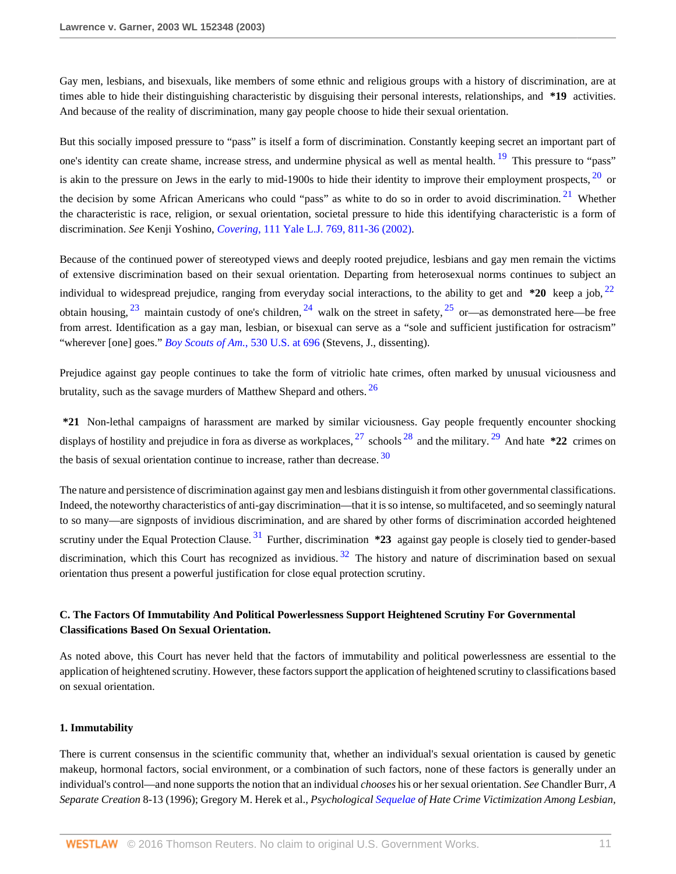Gay men, lesbians, and bisexuals, like members of some ethnic and religious groups with a history of discrimination, are at times able to hide their distinguishing characteristic by disguising their personal interests, relationships, and **\*19** activities. And because of the reality of discrimination, many gay people choose to hide their sexual orientation.

<span id="page-10-2"></span><span id="page-10-1"></span><span id="page-10-0"></span>But this socially imposed pressure to "pass" is itself a form of discrimination. Constantly keeping secret an important part of one's identity can create shame, increase stress, and undermine physical as well as mental health. <sup>[19](#page-16-8)</sup> This pressure to "pass" is akin to the pressure on Jews in the early to mid-1900s to hide their identity to improve their employment prospects,  $\frac{20}{20}$  $\frac{20}{20}$  $\frac{20}{20}$  or the decision by some African Americans who could "pass" as white to do so in order to avoid discrimination.<sup>[21](#page-16-10)</sup> Whether the characteristic is race, religion, or sexual orientation, societal pressure to hide this identifying characteristic is a form of discrimination. *See* Kenji Yoshino, *Covering*[, 111 Yale L.J. 769, 811-36 \(2002\).](http://www.westlaw.com/Link/Document/FullText?findType=Y&serNum=0287640578&pubNum=0001292&originatingDoc=I6d8184796bef11d890d59dc2e0cf7bd4&refType=LR&fi=co_pp_sp_1292_811&originationContext=document&vr=3.0&rs=cblt1.0&transitionType=DocumentItem&contextData=(sc.RelatedInfo)#co_pp_sp_1292_811)

<span id="page-10-6"></span><span id="page-10-5"></span><span id="page-10-4"></span><span id="page-10-3"></span>Because of the continued power of stereotyped views and deeply rooted prejudice, lesbians and gay men remain the victims of extensive discrimination based on their sexual orientation. Departing from heterosexual norms continues to subject an individual to widespread prejudice, ranging from everyday social interactions, to the ability to get and **\*20** keep a job, [22](#page-16-11) obtain housing,  $^{23}$  $^{23}$  $^{23}$  maintain custody of one's children,  $^{24}$  $^{24}$  $^{24}$  walk on the street in safety,  $^{25}$  $^{25}$  $^{25}$  or—as demonstrated here—be free from arrest. Identification as a gay man, lesbian, or bisexual can serve as a "sole and sufficient justification for ostracism" "wherever [one] goes." *[Boy Scouts of Am.](http://www.westlaw.com/Link/Document/FullText?findType=Y&serNum=2000388910&pubNum=0000780&originatingDoc=I6d8184796bef11d890d59dc2e0cf7bd4&refType=RP&fi=co_pp_sp_780_696&originationContext=document&vr=3.0&rs=cblt1.0&transitionType=DocumentItem&contextData=(sc.RelatedInfo)#co_pp_sp_780_696)*, 530 U.S. at 696 (Stevens, J., dissenting).

<span id="page-10-7"></span>Prejudice against gay people continues to take the form of vitriolic hate crimes, often marked by unusual viciousness and brutality, such as the savage murders of Matthew Shepard and others.<sup>[26](#page-17-1)</sup>

<span id="page-10-11"></span><span id="page-10-10"></span><span id="page-10-9"></span><span id="page-10-8"></span>**\*21** Non-lethal campaigns of harassment are marked by similar viciousness. Gay people frequently encounter shocking displays of hostility and prejudice in fora as diverse as workplaces, [27](#page-17-2) schools [28](#page-17-3) and the military. [29](#page-17-4) And hate **\*22** crimes on the basis of sexual orientation continue to increase, rather than decrease.  $30$ 

<span id="page-10-13"></span><span id="page-10-12"></span>The nature and persistence of discrimination against gay men and lesbians distinguish it from other governmental classifications. Indeed, the noteworthy characteristics of anti-gay discrimination—that it is so intense, so multifaceted, and so seemingly natural to so many—are signposts of invidious discrimination, and are shared by other forms of discrimination accorded heightened scrutiny under the Equal Protection Clause. [31](#page-17-6) Further, discrimination **\*23** against gay people is closely tied to gender-based discrimination, which this Court has recognized as invidious.  $32$  The history and nature of discrimination based on sexual orientation thus present a powerful justification for close equal protection scrutiny.

# **C. The Factors Of Immutability And Political Powerlessness Support Heightened Scrutiny For Governmental Classifications Based On Sexual Orientation.**

As noted above, this Court has never held that the factors of immutability and political powerlessness are essential to the application of heightened scrutiny. However, these factors support the application of heightened scrutiny to classifications based on sexual orientation.

## **1. Immutability**

There is current consensus in the scientific community that, whether an individual's sexual orientation is caused by genetic makeup, hormonal factors, social environment, or a combination of such factors, none of these factors is generally under an individual's control—and none supports the notion that an individual *chooses* his or her sexual orientation. *See* Chandler Burr, *A Separate Creation* 8-13 (1996); Gregory M. Herek et al., *Psychological [Sequelae](http://www.westlaw.com/Link/Document/FullText?entityType=disease&entityId=Ib080d63a475411db9765f9243f53508a&originationContext=document&transitionType=DocumentItem&contextData=(sc.Default)&vr=3.0&rs=cblt1.0) of Hate Crime Victimization Among Lesbian,*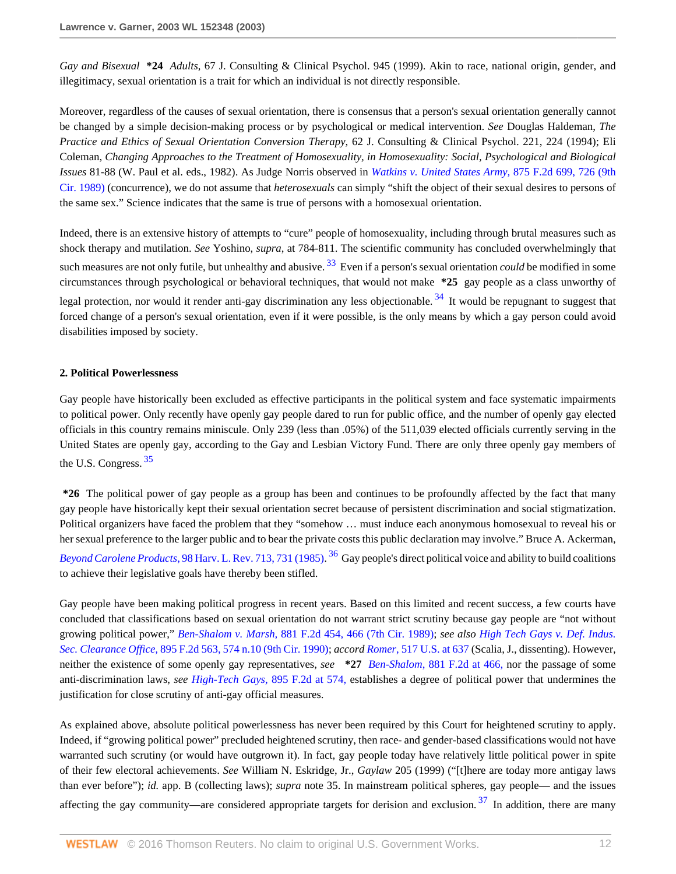*Gay and Bisexual* **\*24** *Adults*, 67 J. Consulting & Clinical Psychol. 945 (1999). Akin to race, national origin, gender, and illegitimacy, sexual orientation is a trait for which an individual is not directly responsible.

Moreover, regardless of the causes of sexual orientation, there is consensus that a person's sexual orientation generally cannot be changed by a simple decision-making process or by psychological or medical intervention. *See* Douglas Haldeman, *The Practice and Ethics of Sexual Orientation Conversion Therapy*, 62 J. Consulting & Clinical Psychol. 221, 224 (1994); Eli Coleman, *Changing Approaches to the Treatment of Homosexuality, in Homosexuality: Social, Psychological and Biological Issues* 81-88 (W. Paul et al. eds., 1982). As Judge Norris observed in *[Watkins v. United States Army,](http://www.westlaw.com/Link/Document/FullText?findType=Y&serNum=1989065840&pubNum=0000350&originatingDoc=I6d8184796bef11d890d59dc2e0cf7bd4&refType=RP&fi=co_pp_sp_350_726&originationContext=document&vr=3.0&rs=cblt1.0&transitionType=DocumentItem&contextData=(sc.RelatedInfo)#co_pp_sp_350_726)* 875 F.2d 699, 726 (9th [Cir. 1989\)](http://www.westlaw.com/Link/Document/FullText?findType=Y&serNum=1989065840&pubNum=0000350&originatingDoc=I6d8184796bef11d890d59dc2e0cf7bd4&refType=RP&fi=co_pp_sp_350_726&originationContext=document&vr=3.0&rs=cblt1.0&transitionType=DocumentItem&contextData=(sc.RelatedInfo)#co_pp_sp_350_726) (concurrence), we do not assume that *heterosexuals* can simply "shift the object of their sexual desires to persons of the same sex." Science indicates that the same is true of persons with a homosexual orientation.

<span id="page-11-1"></span><span id="page-11-0"></span>Indeed, there is an extensive history of attempts to "cure" people of homosexuality, including through brutal measures such as shock therapy and mutilation. *See* Yoshino, *supra*, at 784-811. The scientific community has concluded overwhelmingly that such measures are not only futile, but unhealthy and abusive.<sup>[33](#page-17-8)</sup> Even if a person's sexual orientation *could* be modified in some circumstances through psychological or behavioral techniques, that would not make **\*25** gay people as a class unworthy of legal protection, nor would it render anti-gay discrimination any less objectionable.  $34$  It would be repugnant to suggest that forced change of a person's sexual orientation, even if it were possible, is the only means by which a gay person could avoid disabilities imposed by society.

## **2. Political Powerlessness**

Gay people have historically been excluded as effective participants in the political system and face systematic impairments to political power. Only recently have openly gay people dared to run for public office, and the number of openly gay elected officials in this country remains miniscule. Only 239 (less than .05%) of the 511,039 elected officials currently serving in the United States are openly gay, according to the Gay and Lesbian Victory Fund. There are only three openly gay members of the U.S. Congress.<sup>[35](#page-17-10)</sup>

<span id="page-11-2"></span>**\*26** The political power of gay people as a group has been and continues to be profoundly affected by the fact that many gay people have historically kept their sexual orientation secret because of persistent discrimination and social stigmatization. Political organizers have faced the problem that they "somehow … must induce each anonymous homosexual to reveal his or her sexual preference to the larger public and to bear the private costs this public declaration may involve." Bruce A. Ackerman, *Beyond Carolene Products*[, 98 Harv. L. Rev. 713, 731 \(1985\).](http://www.westlaw.com/Link/Document/FullText?findType=Y&serNum=0102054642&pubNum=0003084&originatingDoc=I6d8184796bef11d890d59dc2e0cf7bd4&refType=LR&fi=co_pp_sp_3084_731&originationContext=document&vr=3.0&rs=cblt1.0&transitionType=DocumentItem&contextData=(sc.RelatedInfo)#co_pp_sp_3084_731) [36](#page-18-0) Gay people's direct political voice and ability to build coalitions to achieve their legislative goals have thereby been stifled.

<span id="page-11-3"></span>Gay people have been making political progress in recent years. Based on this limited and recent success, a few courts have concluded that classifications based on sexual orientation do not warrant strict scrutiny because gay people are "not without growing political power," *Ben-Shalom v. Marsh,* [881 F.2d 454, 466 \(7th Cir. 1989\)](http://www.westlaw.com/Link/Document/FullText?findType=Y&serNum=1989118568&pubNum=0000350&originatingDoc=I6d8184796bef11d890d59dc2e0cf7bd4&refType=RP&fi=co_pp_sp_350_466&originationContext=document&vr=3.0&rs=cblt1.0&transitionType=DocumentItem&contextData=(sc.RelatedInfo)#co_pp_sp_350_466); *see also [High Tech Gays v. Def. Indus.](http://www.westlaw.com/Link/Document/FullText?findType=Y&serNum=1990030040&pubNum=0000350&originatingDoc=I6d8184796bef11d890d59dc2e0cf7bd4&refType=RP&fi=co_pp_sp_350_574&originationContext=document&vr=3.0&rs=cblt1.0&transitionType=DocumentItem&contextData=(sc.RelatedInfo)#co_pp_sp_350_574) Sec. Clearance Office,* [895 F.2d 563, 574 n.10 \(9th Cir. 1990\);](http://www.westlaw.com/Link/Document/FullText?findType=Y&serNum=1990030040&pubNum=0000350&originatingDoc=I6d8184796bef11d890d59dc2e0cf7bd4&refType=RP&fi=co_pp_sp_350_574&originationContext=document&vr=3.0&rs=cblt1.0&transitionType=DocumentItem&contextData=(sc.RelatedInfo)#co_pp_sp_350_574) *accord Romer*[, 517 U.S. at 637](http://www.westlaw.com/Link/Document/FullText?findType=Y&serNum=1996118409&pubNum=0000780&originatingDoc=I6d8184796bef11d890d59dc2e0cf7bd4&refType=RP&fi=co_pp_sp_780_637&originationContext=document&vr=3.0&rs=cblt1.0&transitionType=DocumentItem&contextData=(sc.RelatedInfo)#co_pp_sp_780_637) (Scalia, J., dissenting). However, neither the existence of some openly gay representatives, *see* **\*27** *Ben-Shalom*[, 881 F.2d at 466,](http://www.westlaw.com/Link/Document/FullText?findType=Y&serNum=1989118568&pubNum=350&originatingDoc=I6d8184796bef11d890d59dc2e0cf7bd4&refType=RP&fi=co_pp_sp_350_466&originationContext=document&vr=3.0&rs=cblt1.0&transitionType=DocumentItem&contextData=(sc.RelatedInfo)#co_pp_sp_350_466) nor the passage of some anti-discrimination laws, *see High-Tech Gays*[, 895 F.2d at 574,](http://www.westlaw.com/Link/Document/FullText?findType=Y&serNum=1990030040&pubNum=350&originatingDoc=I6d8184796bef11d890d59dc2e0cf7bd4&refType=RP&fi=co_pp_sp_350_574&originationContext=document&vr=3.0&rs=cblt1.0&transitionType=DocumentItem&contextData=(sc.RelatedInfo)#co_pp_sp_350_574) establishes a degree of political power that undermines the justification for close scrutiny of anti-gay official measures.

<span id="page-11-4"></span>As explained above, absolute political powerlessness has never been required by this Court for heightened scrutiny to apply. Indeed, if "growing political power" precluded heightened scrutiny, then race- and gender-based classifications would not have warranted such scrutiny (or would have outgrown it). In fact, gay people today have relatively little political power in spite of their few electoral achievements. *See* William N. Eskridge, Jr., *Gaylaw* 205 (1999) ("[t]here are today more antigay laws than ever before"); *id.* app. B (collecting laws); *supra* note 35. In mainstream political spheres, gay people— and the issues affecting the gay community—are considered appropriate targets for derision and exclusion.  $37$  In addition, there are many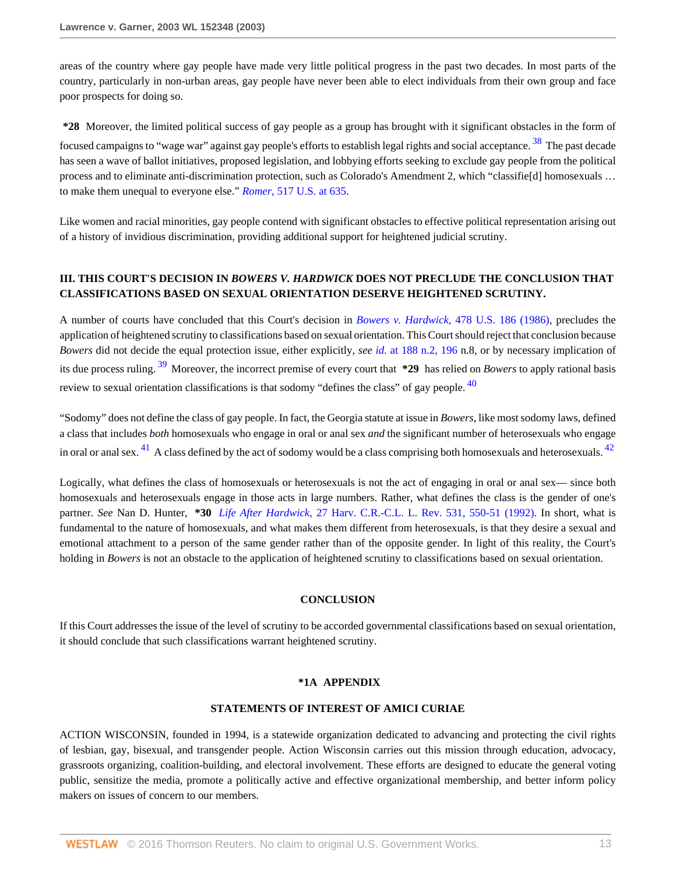areas of the country where gay people have made very little political progress in the past two decades. In most parts of the country, particularly in non-urban areas, gay people have never been able to elect individuals from their own group and face poor prospects for doing so.

<span id="page-12-0"></span>**\*28** Moreover, the limited political success of gay people as a group has brought with it significant obstacles in the form of focused campaigns to "wage war" against gay people's efforts to establish legal rights and social acceptance. <sup>[38](#page-18-2)</sup> The past decade has seen a wave of ballot initiatives, proposed legislation, and lobbying efforts seeking to exclude gay people from the political process and to eliminate anti-discrimination protection, such as Colorado's Amendment 2, which "classifie[d] homosexuals … to make them unequal to everyone else." *Romer*[, 517 U.S. at 635.](http://www.westlaw.com/Link/Document/FullText?findType=Y&serNum=1996118409&pubNum=0000780&originatingDoc=I6d8184796bef11d890d59dc2e0cf7bd4&refType=RP&fi=co_pp_sp_780_635&originationContext=document&vr=3.0&rs=cblt1.0&transitionType=DocumentItem&contextData=(sc.RelatedInfo)#co_pp_sp_780_635)

Like women and racial minorities, gay people contend with significant obstacles to effective political representation arising out of a history of invidious discrimination, providing additional support for heightened judicial scrutiny.

## **III. THIS COURT'S DECISION IN** *BOWERS V. HARDWICK* **DOES NOT PRECLUDE THE CONCLUSION THAT CLASSIFICATIONS BASED ON SEXUAL ORIENTATION DESERVE HEIGHTENED SCRUTINY.**

<span id="page-12-1"></span>A number of courts have concluded that this Court's decision in *Bowers v. Hardwick,* [478 U.S. 186 \(1986\),](http://www.westlaw.com/Link/Document/FullText?findType=Y&serNum=1986133440&pubNum=0000780&originatingDoc=I6d8184796bef11d890d59dc2e0cf7bd4&refType=RP&originationContext=document&vr=3.0&rs=cblt1.0&transitionType=DocumentItem&contextData=(sc.RelatedInfo)) precludes the application of heightened scrutiny to classifications based on sexual orientation. This Court should reject that conclusion because *Bowers* did not decide the equal protection issue, either explicitly, *see id.* [at 188 n.2, 196](http://www.westlaw.com/Link/Document/FullText?findType=Y&serNum=1986133440&pubNum=0000780&originatingDoc=I6d8184796bef11d890d59dc2e0cf7bd4&refType=RP&fi=co_pp_sp_780_188&originationContext=document&vr=3.0&rs=cblt1.0&transitionType=DocumentItem&contextData=(sc.RelatedInfo)#co_pp_sp_780_188) n.8, or by necessary implication of its due process ruling. [39](#page-18-3) Moreover, the incorrect premise of every court that **\*29** has relied on *Bowers* to apply rational basis review to sexual orientation classifications is that sodomy "defines the class" of gay people.  $40$ 

<span id="page-12-3"></span>"Sodomy" does not define the class of gay people. In fact, the Georgia statute at issue in *Bowers*, like most sodomy laws, defined a class that includes *both* homosexuals who engage in oral or anal sex *and* the significant number of heterosexuals who engage in oral or anal sex.  $^{41}$  $^{41}$  $^{41}$  A class defined by the act of sodomy would be a class comprising both homosexuals and heterosexuals.  $^{42}$  $^{42}$  $^{42}$ 

Logically, what defines the class of homosexuals or heterosexuals is not the act of engaging in oral or anal sex— since both homosexuals and heterosexuals engage in those acts in large numbers. Rather, what defines the class is the gender of one's partner. *See* Nan D. Hunter, **\*30** *Life After Hardwick*[, 27 Harv. C.R.-C.L. L. Rev. 531, 550-51 \(1992\).](http://www.westlaw.com/Link/Document/FullText?findType=Y&serNum=0102295004&pubNum=0001151&originatingDoc=I6d8184796bef11d890d59dc2e0cf7bd4&refType=LR&fi=co_pp_sp_1151_550&originationContext=document&vr=3.0&rs=cblt1.0&transitionType=DocumentItem&contextData=(sc.RelatedInfo)#co_pp_sp_1151_550) In short, what is fundamental to the nature of homosexuals, and what makes them different from heterosexuals, is that they desire a sexual and emotional attachment to a person of the same gender rather than of the opposite gender. In light of this reality, the Court's holding in *Bowers* is not an obstacle to the application of heightened scrutiny to classifications based on sexual orientation.

## <span id="page-12-4"></span><span id="page-12-2"></span>**CONCLUSION**

If this Court addresses the issue of the level of scrutiny to be accorded governmental classifications based on sexual orientation, it should conclude that such classifications warrant heightened scrutiny.

### **\*1A APPENDIX**

## **STATEMENTS OF INTEREST OF AMICI CURIAE**

ACTION WISCONSIN, founded in 1994, is a statewide organization dedicated to advancing and protecting the civil rights of lesbian, gay, bisexual, and transgender people. Action Wisconsin carries out this mission through education, advocacy, grassroots organizing, coalition-building, and electoral involvement. These efforts are designed to educate the general voting public, sensitize the media, promote a politically active and effective organizational membership, and better inform policy makers on issues of concern to our members.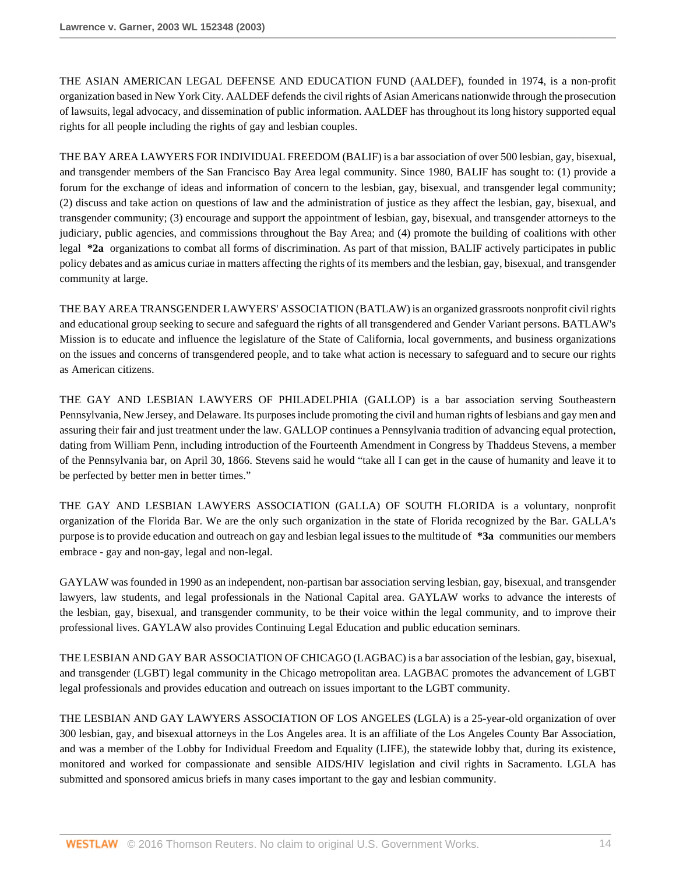THE ASIAN AMERICAN LEGAL DEFENSE AND EDUCATION FUND (AALDEF), founded in 1974, is a non-profit organization based in New York City. AALDEF defends the civil rights of Asian Americans nationwide through the prosecution of lawsuits, legal advocacy, and dissemination of public information. AALDEF has throughout its long history supported equal rights for all people including the rights of gay and lesbian couples.

THE BAY AREA LAWYERS FOR INDIVIDUAL FREEDOM (BALIF) is a bar association of over 500 lesbian, gay, bisexual, and transgender members of the San Francisco Bay Area legal community. Since 1980, BALIF has sought to: (1) provide a forum for the exchange of ideas and information of concern to the lesbian, gay, bisexual, and transgender legal community; (2) discuss and take action on questions of law and the administration of justice as they affect the lesbian, gay, bisexual, and transgender community; (3) encourage and support the appointment of lesbian, gay, bisexual, and transgender attorneys to the judiciary, public agencies, and commissions throughout the Bay Area; and (4) promote the building of coalitions with other legal **\*2a** organizations to combat all forms of discrimination. As part of that mission, BALIF actively participates in public policy debates and as amicus curiae in matters affecting the rights of its members and the lesbian, gay, bisexual, and transgender community at large.

THE BAY AREA TRANSGENDER LAWYERS' ASSOCIATION (BATLAW) is an organized grassroots nonprofit civil rights and educational group seeking to secure and safeguard the rights of all transgendered and Gender Variant persons. BATLAW's Mission is to educate and influence the legislature of the State of California, local governments, and business organizations on the issues and concerns of transgendered people, and to take what action is necessary to safeguard and to secure our rights as American citizens.

THE GAY AND LESBIAN LAWYERS OF PHILADELPHIA (GALLOP) is a bar association serving Southeastern Pennsylvania, New Jersey, and Delaware. Its purposes include promoting the civil and human rights of lesbians and gay men and assuring their fair and just treatment under the law. GALLOP continues a Pennsylvania tradition of advancing equal protection, dating from William Penn, including introduction of the Fourteenth Amendment in Congress by Thaddeus Stevens, a member of the Pennsylvania bar, on April 30, 1866. Stevens said he would "take all I can get in the cause of humanity and leave it to be perfected by better men in better times."

THE GAY AND LESBIAN LAWYERS ASSOCIATION (GALLA) OF SOUTH FLORIDA is a voluntary, nonprofit organization of the Florida Bar. We are the only such organization in the state of Florida recognized by the Bar. GALLA's purpose is to provide education and outreach on gay and lesbian legal issues to the multitude of **\*3a** communities our members embrace - gay and non-gay, legal and non-legal.

GAYLAW was founded in 1990 as an independent, non-partisan bar association serving lesbian, gay, bisexual, and transgender lawyers, law students, and legal professionals in the National Capital area. GAYLAW works to advance the interests of the lesbian, gay, bisexual, and transgender community, to be their voice within the legal community, and to improve their professional lives. GAYLAW also provides Continuing Legal Education and public education seminars.

THE LESBIAN AND GAY BAR ASSOCIATION OF CHICAGO (LAGBAC) is a bar association of the lesbian, gay, bisexual, and transgender (LGBT) legal community in the Chicago metropolitan area. LAGBAC promotes the advancement of LGBT legal professionals and provides education and outreach on issues important to the LGBT community.

THE LESBIAN AND GAY LAWYERS ASSOCIATION OF LOS ANGELES (LGLA) is a 25-year-old organization of over 300 lesbian, gay, and bisexual attorneys in the Los Angeles area. It is an affiliate of the Los Angeles County Bar Association, and was a member of the Lobby for Individual Freedom and Equality (LIFE), the statewide lobby that, during its existence, monitored and worked for compassionate and sensible AIDS/HIV legislation and civil rights in Sacramento. LGLA has submitted and sponsored amicus briefs in many cases important to the gay and lesbian community.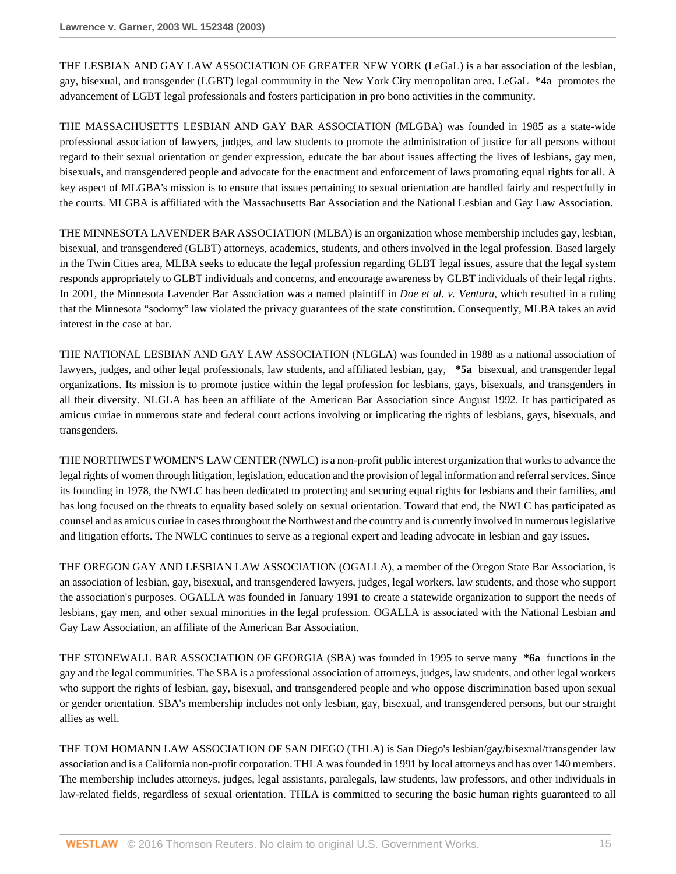THE LESBIAN AND GAY LAW ASSOCIATION OF GREATER NEW YORK (LeGaL) is a bar association of the lesbian, gay, bisexual, and transgender (LGBT) legal community in the New York City metropolitan area. LeGaL **\*4a** promotes the advancement of LGBT legal professionals and fosters participation in pro bono activities in the community.

THE MASSACHUSETTS LESBIAN AND GAY BAR ASSOCIATION (MLGBA) was founded in 1985 as a state-wide professional association of lawyers, judges, and law students to promote the administration of justice for all persons without regard to their sexual orientation or gender expression, educate the bar about issues affecting the lives of lesbians, gay men, bisexuals, and transgendered people and advocate for the enactment and enforcement of laws promoting equal rights for all. A key aspect of MLGBA's mission is to ensure that issues pertaining to sexual orientation are handled fairly and respectfully in the courts. MLGBA is affiliated with the Massachusetts Bar Association and the National Lesbian and Gay Law Association.

THE MINNESOTA LAVENDER BAR ASSOCIATION (MLBA) is an organization whose membership includes gay, lesbian, bisexual, and transgendered (GLBT) attorneys, academics, students, and others involved in the legal profession. Based largely in the Twin Cities area, MLBA seeks to educate the legal profession regarding GLBT legal issues, assure that the legal system responds appropriately to GLBT individuals and concerns, and encourage awareness by GLBT individuals of their legal rights. In 2001, the Minnesota Lavender Bar Association was a named plaintiff in *Doe et al. v. Ventura,* which resulted in a ruling that the Minnesota "sodomy" law violated the privacy guarantees of the state constitution. Consequently, MLBA takes an avid interest in the case at bar.

THE NATIONAL LESBIAN AND GAY LAW ASSOCIATION (NLGLA) was founded in 1988 as a national association of lawyers, judges, and other legal professionals, law students, and affiliated lesbian, gay, **\*5a** bisexual, and transgender legal organizations. Its mission is to promote justice within the legal profession for lesbians, gays, bisexuals, and transgenders in all their diversity. NLGLA has been an affiliate of the American Bar Association since August 1992. It has participated as amicus curiae in numerous state and federal court actions involving or implicating the rights of lesbians, gays, bisexuals, and transgenders.

THE NORTHWEST WOMEN'S LAW CENTER (NWLC) is a non-profit public interest organization that works to advance the legal rights of women through litigation, legislation, education and the provision of legal information and referral services. Since its founding in 1978, the NWLC has been dedicated to protecting and securing equal rights for lesbians and their families, and has long focused on the threats to equality based solely on sexual orientation. Toward that end, the NWLC has participated as counsel and as amicus curiae in cases throughout the Northwest and the country and is currently involved in numerous legislative and litigation efforts. The NWLC continues to serve as a regional expert and leading advocate in lesbian and gay issues.

THE OREGON GAY AND LESBIAN LAW ASSOCIATION (OGALLA), a member of the Oregon State Bar Association, is an association of lesbian, gay, bisexual, and transgendered lawyers, judges, legal workers, law students, and those who support the association's purposes. OGALLA was founded in January 1991 to create a statewide organization to support the needs of lesbians, gay men, and other sexual minorities in the legal profession. OGALLA is associated with the National Lesbian and Gay Law Association, an affiliate of the American Bar Association.

THE STONEWALL BAR ASSOCIATION OF GEORGIA (SBA) was founded in 1995 to serve many **\*6a** functions in the gay and the legal communities. The SBA is a professional association of attorneys, judges, law students, and other legal workers who support the rights of lesbian, gay, bisexual, and transgendered people and who oppose discrimination based upon sexual or gender orientation. SBA's membership includes not only lesbian, gay, bisexual, and transgendered persons, but our straight allies as well.

THE TOM HOMANN LAW ASSOCIATION OF SAN DIEGO (THLA) is San Diego's lesbian/gay/bisexual/transgender law association and is a California non-profit corporation. THLA was founded in 1991 by local attorneys and has over 140 members. The membership includes attorneys, judges, legal assistants, paralegals, law students, law professors, and other individuals in law-related fields, regardless of sexual orientation. THLA is committed to securing the basic human rights guaranteed to all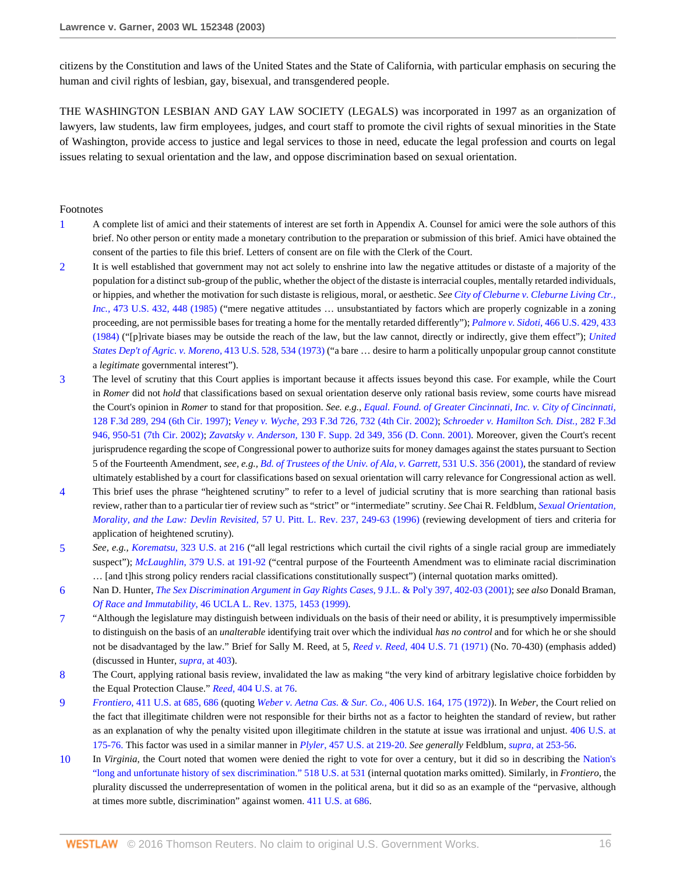citizens by the Constitution and laws of the United States and the State of California, with particular emphasis on securing the human and civil rights of lesbian, gay, bisexual, and transgendered people.

THE WASHINGTON LESBIAN AND GAY LAW SOCIETY (LEGALS) was incorporated in 1997 as an organization of lawyers, law students, law firm employees, judges, and court staff to promote the civil rights of sexual minorities in the State of Washington, provide access to justice and legal services to those in need, educate the legal profession and courts on legal issues relating to sexual orientation and the law, and oppose discrimination based on sexual orientation.

#### Footnotes

- <span id="page-15-0"></span>[1](#page-4-0) A complete list of amici and their statements of interest are set forth in Appendix A. Counsel for amici were the sole authors of this brief. No other person or entity made a monetary contribution to the preparation or submission of this brief. Amici have obtained the consent of the parties to file this brief. Letters of consent are on file with the Clerk of the Court.
- <span id="page-15-1"></span>[2](#page-4-1) It is well established that government may not act solely to enshrine into law the negative attitudes or distaste of a majority of the population for a distinct sub-group of the public, whether the object of the distaste is interracial couples, mentally retarded individuals, or hippies, and whether the motivation for such distaste is religious, moral, or aesthetic. *See [City of Cleburne v. Cleburne Living Ctr.,](http://www.westlaw.com/Link/Document/FullText?findType=Y&serNum=1985133474&pubNum=0000780&originatingDoc=I6d8184796bef11d890d59dc2e0cf7bd4&refType=RP&fi=co_pp_sp_780_448&originationContext=document&vr=3.0&rs=cblt1.0&transitionType=DocumentItem&contextData=(sc.RelatedInfo)#co_pp_sp_780_448) Inc.,* [473 U.S. 432, 448 \(1985\)](http://www.westlaw.com/Link/Document/FullText?findType=Y&serNum=1985133474&pubNum=0000780&originatingDoc=I6d8184796bef11d890d59dc2e0cf7bd4&refType=RP&fi=co_pp_sp_780_448&originationContext=document&vr=3.0&rs=cblt1.0&transitionType=DocumentItem&contextData=(sc.RelatedInfo)#co_pp_sp_780_448) ("mere negative attitudes ... unsubstantiated by factors which are properly cognizable in a zoning proceeding, are not permissible bases for treating a home for the mentally retarded differently"); *Palmore v. Sidoti,* [466 U.S. 429, 433](http://www.westlaw.com/Link/Document/FullText?findType=Y&serNum=1984120053&pubNum=0000780&originatingDoc=I6d8184796bef11d890d59dc2e0cf7bd4&refType=RP&fi=co_pp_sp_780_433&originationContext=document&vr=3.0&rs=cblt1.0&transitionType=DocumentItem&contextData=(sc.RelatedInfo)#co_pp_sp_780_433) [\(1984\)](http://www.westlaw.com/Link/Document/FullText?findType=Y&serNum=1984120053&pubNum=0000780&originatingDoc=I6d8184796bef11d890d59dc2e0cf7bd4&refType=RP&fi=co_pp_sp_780_433&originationContext=document&vr=3.0&rs=cblt1.0&transitionType=DocumentItem&contextData=(sc.RelatedInfo)#co_pp_sp_780_433) ("[p]rivate biases may be outside the reach of the law, but the law cannot, directly or indirectly, give them effect"); *[United](http://www.westlaw.com/Link/Document/FullText?findType=Y&serNum=1973126451&pubNum=0000780&originatingDoc=I6d8184796bef11d890d59dc2e0cf7bd4&refType=RP&fi=co_pp_sp_780_534&originationContext=document&vr=3.0&rs=cblt1.0&transitionType=DocumentItem&contextData=(sc.RelatedInfo)#co_pp_sp_780_534) [States Dep't of Agric. v. Moreno,](http://www.westlaw.com/Link/Document/FullText?findType=Y&serNum=1973126451&pubNum=0000780&originatingDoc=I6d8184796bef11d890d59dc2e0cf7bd4&refType=RP&fi=co_pp_sp_780_534&originationContext=document&vr=3.0&rs=cblt1.0&transitionType=DocumentItem&contextData=(sc.RelatedInfo)#co_pp_sp_780_534)* 413 U.S. 528, 534 (1973) ("a bare … desire to harm a politically unpopular group cannot constitute a *legitimate* governmental interest").
- <span id="page-15-2"></span>[3](#page-4-2) The level of scrutiny that this Court applies is important because it affects issues beyond this case. For example, while the Court in *Romer* did not *hold* that classifications based on sexual orientation deserve only rational basis review, some courts have misread the Court's opinion in *Romer* to stand for that proposition. *See. e.g., [Equal. Found. of Greater Cincinnati, Inc. v. City of Cincinnati,](http://www.westlaw.com/Link/Document/FullText?findType=Y&serNum=1997213083&pubNum=0000506&originatingDoc=I6d8184796bef11d890d59dc2e0cf7bd4&refType=RP&fi=co_pp_sp_506_294&originationContext=document&vr=3.0&rs=cblt1.0&transitionType=DocumentItem&contextData=(sc.RelatedInfo)#co_pp_sp_506_294)* [128 F.3d 289, 294 \(6th Cir. 1997\);](http://www.westlaw.com/Link/Document/FullText?findType=Y&serNum=1997213083&pubNum=0000506&originatingDoc=I6d8184796bef11d890d59dc2e0cf7bd4&refType=RP&fi=co_pp_sp_506_294&originationContext=document&vr=3.0&rs=cblt1.0&transitionType=DocumentItem&contextData=(sc.RelatedInfo)#co_pp_sp_506_294) *Veney v. Wyche,* [293 F.3d 726, 732 \(4th Cir. 2002\);](http://www.westlaw.com/Link/Document/FullText?findType=Y&serNum=2002380036&pubNum=0000506&originatingDoc=I6d8184796bef11d890d59dc2e0cf7bd4&refType=RP&fi=co_pp_sp_506_732&originationContext=document&vr=3.0&rs=cblt1.0&transitionType=DocumentItem&contextData=(sc.RelatedInfo)#co_pp_sp_506_732) *[Schroeder v. Hamilton Sch. Dist.,](http://www.westlaw.com/Link/Document/FullText?findType=Y&serNum=2002172774&pubNum=0000506&originatingDoc=I6d8184796bef11d890d59dc2e0cf7bd4&refType=RP&fi=co_pp_sp_506_950&originationContext=document&vr=3.0&rs=cblt1.0&transitionType=DocumentItem&contextData=(sc.RelatedInfo)#co_pp_sp_506_950)* 282 F.3d [946, 950-51 \(7th Cir. 2002\);](http://www.westlaw.com/Link/Document/FullText?findType=Y&serNum=2002172774&pubNum=0000506&originatingDoc=I6d8184796bef11d890d59dc2e0cf7bd4&refType=RP&fi=co_pp_sp_506_950&originationContext=document&vr=3.0&rs=cblt1.0&transitionType=DocumentItem&contextData=(sc.RelatedInfo)#co_pp_sp_506_950) *Zavatsky v. Anderson,* [130 F. Supp. 2d 349, 356 \(D. Conn. 2001\).](http://www.westlaw.com/Link/Document/FullText?findType=Y&serNum=2001173076&pubNum=0004637&originatingDoc=I6d8184796bef11d890d59dc2e0cf7bd4&refType=RP&fi=co_pp_sp_4637_356&originationContext=document&vr=3.0&rs=cblt1.0&transitionType=DocumentItem&contextData=(sc.RelatedInfo)#co_pp_sp_4637_356) Moreover, given the Court's recent jurisprudence regarding the scope of Congressional power to authorize suits for money damages against the states pursuant to Section 5 of the Fourteenth Amendment, *see, e.g., [Bd. of Trustees of the Univ. of Ala, v. Garrett,](http://www.westlaw.com/Link/Document/FullText?findType=Y&serNum=2001172281&pubNum=0000780&originatingDoc=I6d8184796bef11d890d59dc2e0cf7bd4&refType=RP&originationContext=document&vr=3.0&rs=cblt1.0&transitionType=DocumentItem&contextData=(sc.RelatedInfo))* 531 U.S. 356 (2001), the standard of review ultimately established by a court for classifications based on sexual orientation will carry relevance for Congressional action as well.
- <span id="page-15-3"></span>[4](#page-5-0) This brief uses the phrase "heightened scrutiny" to refer to a level of judicial scrutiny that is more searching than rational basis review, rather than to a particular tier of review such as "strict" or "intermediate" scrutiny. *See* Chai R. Feldblum, *[Sexual Orientation,](http://www.westlaw.com/Link/Document/FullText?findType=Y&serNum=0106465066&pubNum=0001269&originatingDoc=I6d8184796bef11d890d59dc2e0cf7bd4&refType=LR&fi=co_pp_sp_1269_249&originationContext=document&vr=3.0&rs=cblt1.0&transitionType=DocumentItem&contextData=(sc.RelatedInfo)#co_pp_sp_1269_249) [Morality, and the Law: Devlin Revisited](http://www.westlaw.com/Link/Document/FullText?findType=Y&serNum=0106465066&pubNum=0001269&originatingDoc=I6d8184796bef11d890d59dc2e0cf7bd4&refType=LR&fi=co_pp_sp_1269_249&originationContext=document&vr=3.0&rs=cblt1.0&transitionType=DocumentItem&contextData=(sc.RelatedInfo)#co_pp_sp_1269_249)*, 57 U. Pitt. L. Rev. 237, 249-63 (1996) (reviewing development of tiers and criteria for application of heightened scrutiny).
- <span id="page-15-4"></span>[5](#page-7-0) *See, e.g., Korematsu*[, 323 U.S. at 216](http://www.westlaw.com/Link/Document/FullText?findType=Y&serNum=1944118365&pubNum=0000780&originatingDoc=I6d8184796bef11d890d59dc2e0cf7bd4&refType=RP&fi=co_pp_sp_780_216&originationContext=document&vr=3.0&rs=cblt1.0&transitionType=DocumentItem&contextData=(sc.RelatedInfo)#co_pp_sp_780_216) ("all legal restrictions which curtail the civil rights of a single racial group are immediately suspect"); *McLaughlin*[, 379 U.S. at 191-92](http://www.westlaw.com/Link/Document/FullText?findType=Y&serNum=1964124890&pubNum=0000780&originatingDoc=I6d8184796bef11d890d59dc2e0cf7bd4&refType=RP&fi=co_pp_sp_780_191&originationContext=document&vr=3.0&rs=cblt1.0&transitionType=DocumentItem&contextData=(sc.RelatedInfo)#co_pp_sp_780_191) ("central purpose of the Fourteenth Amendment was to eliminate racial discrimination … [and t]his strong policy renders racial classifications constitutionally suspect") (internal quotation marks omitted).
- <span id="page-15-5"></span>[6](#page-7-1) Nan D. Hunter, *[The Sex Discrimination Argument in Gay Rights Cases](http://www.westlaw.com/Link/Document/FullText?findType=Y&serNum=0283769963&pubNum=0102192&originatingDoc=I6d8184796bef11d890d59dc2e0cf7bd4&refType=LR&fi=co_pp_sp_102192_402&originationContext=document&vr=3.0&rs=cblt1.0&transitionType=DocumentItem&contextData=(sc.RelatedInfo)#co_pp_sp_102192_402)*, 9 J.L. & Pol'y 397, 402-03 (2001); *see also* Donald Braman, *Of Race and Immutability*[, 46 UCLA L. Rev. 1375, 1453 \(1999\)](http://www.westlaw.com/Link/Document/FullText?findType=Y&serNum=0112629009&pubNum=0003041&originatingDoc=I6d8184796bef11d890d59dc2e0cf7bd4&refType=LR&originationContext=document&vr=3.0&rs=cblt1.0&transitionType=DocumentItem&contextData=(sc.RelatedInfo)).
- <span id="page-15-6"></span>[7](#page-7-2) "Although the legislature may distinguish between individuals on the basis of their need or ability, it is presumptively impermissible to distinguish on the basis of an *unalterable* identifying trait over which the individual *has no control* and for which he or she should not be disadvantaged by the law." Brief for Sally M. Reed, at 5, *Reed v. Reed,* [404 U.S. 71 \(1971\)](http://www.westlaw.com/Link/Document/FullText?findType=Y&serNum=1971127135&pubNum=0000780&originatingDoc=I6d8184796bef11d890d59dc2e0cf7bd4&refType=RP&originationContext=document&vr=3.0&rs=cblt1.0&transitionType=DocumentItem&contextData=(sc.RelatedInfo)) (No. 70-430) (emphasis added) (discussed in Hunter, *supra*[, at 403\)](http://www.westlaw.com/Link/Document/FullText?findType=Y&serNum=0283769963&pubNum=0102192&originatingDoc=I6d8184796bef11d890d59dc2e0cf7bd4&refType=LR&fi=co_pp_sp_102192_403&originationContext=document&vr=3.0&rs=cblt1.0&transitionType=DocumentItem&contextData=(sc.RelatedInfo)#co_pp_sp_102192_403).
- <span id="page-15-7"></span>[8](#page-7-3) The Court, applying rational basis review, invalidated the law as making "the very kind of arbitrary legislative choice forbidden by the Equal Protection Clause." *Reed*[, 404 U.S. at 76.](http://www.westlaw.com/Link/Document/FullText?findType=Y&serNum=1971127135&pubNum=0000780&originatingDoc=I6d8184796bef11d890d59dc2e0cf7bd4&refType=RP&fi=co_pp_sp_780_76&originationContext=document&vr=3.0&rs=cblt1.0&transitionType=DocumentItem&contextData=(sc.RelatedInfo)#co_pp_sp_780_76)
- <span id="page-15-8"></span>[9](#page-7-4) *Frontiero*[, 411 U.S. at 685, 686](http://www.westlaw.com/Link/Document/FullText?findType=Y&serNum=1973126388&pubNum=0000780&originatingDoc=I6d8184796bef11d890d59dc2e0cf7bd4&refType=RP&fi=co_pp_sp_780_685&originationContext=document&vr=3.0&rs=cblt1.0&transitionType=DocumentItem&contextData=(sc.RelatedInfo)#co_pp_sp_780_685) (quoting *[Weber v. Aetna Cas. & Sur. Co.,](http://www.westlaw.com/Link/Document/FullText?findType=Y&serNum=1972127110&pubNum=0000780&originatingDoc=I6d8184796bef11d890d59dc2e0cf7bd4&refType=RP&fi=co_pp_sp_780_175&originationContext=document&vr=3.0&rs=cblt1.0&transitionType=DocumentItem&contextData=(sc.RelatedInfo)#co_pp_sp_780_175)* 406 U.S. 164, 175 (1972)). In *Weber*, the Court relied on the fact that illegitimate children were not responsible for their births not as a factor to heighten the standard of review, but rather as an explanation of why the penalty visited upon illegitimate children in the statute at issue was irrational and unjust. [406 U.S. at](http://www.westlaw.com/Link/Document/FullText?findType=Y&serNum=1972127110&pubNum=780&originatingDoc=I6d8184796bef11d890d59dc2e0cf7bd4&refType=RP&fi=co_pp_sp_780_175&originationContext=document&vr=3.0&rs=cblt1.0&transitionType=DocumentItem&contextData=(sc.RelatedInfo)#co_pp_sp_780_175) [175-76.](http://www.westlaw.com/Link/Document/FullText?findType=Y&serNum=1972127110&pubNum=780&originatingDoc=I6d8184796bef11d890d59dc2e0cf7bd4&refType=RP&fi=co_pp_sp_780_175&originationContext=document&vr=3.0&rs=cblt1.0&transitionType=DocumentItem&contextData=(sc.RelatedInfo)#co_pp_sp_780_175) This factor was used in a similar manner in *Plyler*[, 457 U.S. at 219-20.](http://www.westlaw.com/Link/Document/FullText?findType=Y&serNum=1982126797&pubNum=780&originatingDoc=I6d8184796bef11d890d59dc2e0cf7bd4&refType=RP&fi=co_pp_sp_780_219&originationContext=document&vr=3.0&rs=cblt1.0&transitionType=DocumentItem&contextData=(sc.RelatedInfo)#co_pp_sp_780_219) *See generally* Feldblum, *supra*[, at 253-56](http://www.westlaw.com/Link/Document/FullText?findType=Y&serNum=1982126797&pubNum=0000780&originatingDoc=I6d8184796bef11d890d59dc2e0cf7bd4&refType=RP&fi=co_pp_sp_780_253&originationContext=document&vr=3.0&rs=cblt1.0&transitionType=DocumentItem&contextData=(sc.RelatedInfo)#co_pp_sp_780_253).
- <span id="page-15-9"></span>[10](#page-8-0) In *Virginia*, the Court noted that women were denied the right to vote for over a century, but it did so in describing the [Nation's](http://www.westlaw.com/Link/Document/FullText?findType=Y&serNum=1996141696&pubNum=0000780&originatingDoc=I6d8184796bef11d890d59dc2e0cf7bd4&refType=RP&fi=co_pp_sp_780_531&originationContext=document&vr=3.0&rs=cblt1.0&transitionType=DocumentItem&contextData=(sc.RelatedInfo)#co_pp_sp_780_531) ["long and unfortunate history of sex discrimination." 518 U.S. at 531](http://www.westlaw.com/Link/Document/FullText?findType=Y&serNum=1996141696&pubNum=0000780&originatingDoc=I6d8184796bef11d890d59dc2e0cf7bd4&refType=RP&fi=co_pp_sp_780_531&originationContext=document&vr=3.0&rs=cblt1.0&transitionType=DocumentItem&contextData=(sc.RelatedInfo)#co_pp_sp_780_531) (internal quotation marks omitted). Similarly, in *Frontiero*, the plurality discussed the underrepresentation of women in the political arena, but it did so as an example of the "pervasive, although at times more subtle, discrimination" against women. [411 U.S. at 686](http://www.westlaw.com/Link/Document/FullText?findType=Y&serNum=1973126388&pubNum=0000780&originatingDoc=I6d8184796bef11d890d59dc2e0cf7bd4&refType=RP&fi=co_pp_sp_780_686&originationContext=document&vr=3.0&rs=cblt1.0&transitionType=DocumentItem&contextData=(sc.RelatedInfo)#co_pp_sp_780_686).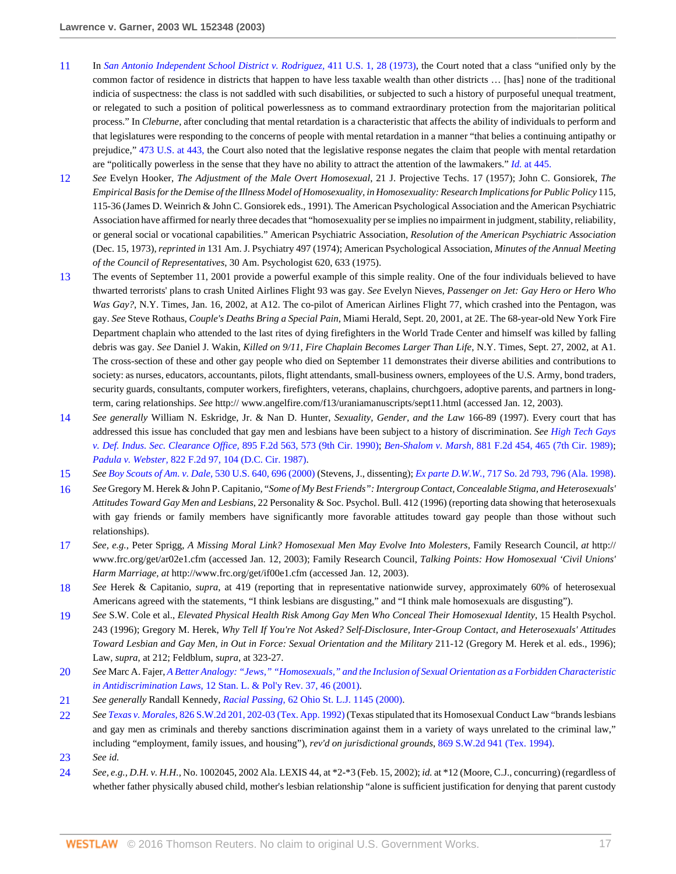- <span id="page-16-0"></span>[11](#page-8-1) In *[San Antonio Independent School District v. Rodriguez,](http://www.westlaw.com/Link/Document/FullText?findType=Y&serNum=1973126364&pubNum=0000780&originatingDoc=I6d8184796bef11d890d59dc2e0cf7bd4&refType=RP&fi=co_pp_sp_780_28&originationContext=document&vr=3.0&rs=cblt1.0&transitionType=DocumentItem&contextData=(sc.RelatedInfo)#co_pp_sp_780_28)* 411 U.S. 1, 28 (1973), the Court noted that a class "unified only by the common factor of residence in districts that happen to have less taxable wealth than other districts … [has] none of the traditional indicia of suspectness: the class is not saddled with such disabilities, or subjected to such a history of purposeful unequal treatment, or relegated to such a position of political powerlessness as to command extraordinary protection from the majoritarian political process." In *Cleburne*, after concluding that mental retardation is a characteristic that affects the ability of individuals to perform and that legislatures were responding to the concerns of people with mental retardation in a manner "that belies a continuing antipathy or prejudice," [473 U.S. at 443,](http://www.westlaw.com/Link/Document/FullText?findType=Y&serNum=1985133474&pubNum=780&originatingDoc=I6d8184796bef11d890d59dc2e0cf7bd4&refType=RP&fi=co_pp_sp_780_443&originationContext=document&vr=3.0&rs=cblt1.0&transitionType=DocumentItem&contextData=(sc.RelatedInfo)#co_pp_sp_780_443) the Court also noted that the legislative response negates the claim that people with mental retardation are "politically powerless in the sense that they have no ability to attract the attention of the lawmakers." *Id.* [at 445.](http://www.westlaw.com/Link/Document/FullText?findType=Y&serNum=1985133474&originatingDoc=I6d8184796bef11d890d59dc2e0cf7bd4&refType=RP&originationContext=document&vr=3.0&rs=cblt1.0&transitionType=DocumentItem&contextData=(sc.RelatedInfo))
- <span id="page-16-1"></span>[12](#page-9-0) *See* Evelyn Hooker, *The Adjustment of the Male Overt Homosexual*, 21 J. Projective Techs. 17 (1957); John C. Gonsiorek, *The Empirical Basis for the Demise of the Illness Model of Homosexuality, in Homosexuality: Research Implications for Public Policy* 115, 115-36 (James D. Weinrich & John C. Gonsiorek eds., 1991). The American Psychological Association and the American Psychiatric Association have affirmed for nearly three decades that "homosexuality per se implies no impairment in judgment, stability, reliability, or general social or vocational capabilities." American Psychiatric Association, *Resolution of the American Psychiatric Association* (Dec. 15, 1973), *reprinted in* 131 Am. J. Psychiatry 497 (1974); American Psychological Association, *Minutes of the Annual Meeting of the Council of Representatives*, 30 Am. Psychologist 620, 633 (1975).
- <span id="page-16-2"></span>[13](#page-9-1) The events of September 11, 2001 provide a powerful example of this simple reality. One of the four individuals believed to have thwarted terrorists' plans to crash United Airlines Flight 93 was gay. *See* Evelyn Nieves, *Passenger on Jet: Gay Hero or Hero Who Was Gay?*, N.Y. Times, Jan. 16, 2002, at A12. The co-pilot of American Airlines Flight 77, which crashed into the Pentagon, was gay. *See* Steve Rothaus, *Couple's Deaths Bring a Special Pain*, Miami Herald, Sept. 20, 2001, at 2E. The 68-year-old New York Fire Department chaplain who attended to the last rites of dying firefighters in the World Trade Center and himself was killed by falling debris was gay. *See* Daniel J. Wakin, *Killed on 9/11, Fire Chaplain Becomes Larger Than Life*, N.Y. Times, Sept. 27, 2002, at A1. The cross-section of these and other gay people who died on September 11 demonstrates their diverse abilities and contributions to society: as nurses, educators, accountants, pilots, flight attendants, small-business owners, employees of the U.S. Army, bond traders, security guards, consultants, computer workers, firefighters, veterans, chaplains, churchgoers, adoptive parents, and partners in longterm, caring relationships. *See* http:// www.angelfire.com/f13/uraniamanuscripts/sept11.html (accessed Jan. 12, 2003).
- <span id="page-16-3"></span>[14](#page-9-2) *See generally* William N. Eskridge, Jr. & Nan D. Hunter, *Sexuality, Gender, and the Law* 166-89 (1997). Every court that has addressed this issue has concluded that gay men and lesbians have been subject to a history of discrimination. *See [High Tech Gays](http://www.westlaw.com/Link/Document/FullText?findType=Y&serNum=1990030040&pubNum=0000350&originatingDoc=I6d8184796bef11d890d59dc2e0cf7bd4&refType=RP&fi=co_pp_sp_350_573&originationContext=document&vr=3.0&rs=cblt1.0&transitionType=DocumentItem&contextData=(sc.RelatedInfo)#co_pp_sp_350_573) [v. Def. Indus. Sec. Clearance Office,](http://www.westlaw.com/Link/Document/FullText?findType=Y&serNum=1990030040&pubNum=0000350&originatingDoc=I6d8184796bef11d890d59dc2e0cf7bd4&refType=RP&fi=co_pp_sp_350_573&originationContext=document&vr=3.0&rs=cblt1.0&transitionType=DocumentItem&contextData=(sc.RelatedInfo)#co_pp_sp_350_573)* 895 F.2d 563, 573 (9th Cir. 1990); *Ben-Shalom v. Marsh,* [881 F.2d 454, 465 \(7th Cir. 1989\)](http://www.westlaw.com/Link/Document/FullText?findType=Y&serNum=1989118568&pubNum=0000350&originatingDoc=I6d8184796bef11d890d59dc2e0cf7bd4&refType=RP&fi=co_pp_sp_350_465&originationContext=document&vr=3.0&rs=cblt1.0&transitionType=DocumentItem&contextData=(sc.RelatedInfo)#co_pp_sp_350_465); *Padula v. Webster,* [822 F.2d 97, 104 \(D.C. Cir. 1987\)](http://www.westlaw.com/Link/Document/FullText?findType=Y&serNum=1987080232&pubNum=0000350&originatingDoc=I6d8184796bef11d890d59dc2e0cf7bd4&refType=RP&fi=co_pp_sp_350_104&originationContext=document&vr=3.0&rs=cblt1.0&transitionType=DocumentItem&contextData=(sc.RelatedInfo)#co_pp_sp_350_104).
- <span id="page-16-4"></span>[15](#page-9-3) *See [Boy Scouts of Am. v. Dale,](http://www.westlaw.com/Link/Document/FullText?findType=Y&serNum=2000388910&pubNum=0000780&originatingDoc=I6d8184796bef11d890d59dc2e0cf7bd4&refType=RP&fi=co_pp_sp_780_696&originationContext=document&vr=3.0&rs=cblt1.0&transitionType=DocumentItem&contextData=(sc.RelatedInfo)#co_pp_sp_780_696)* 530 U.S. 640, 696 (2000) (Stevens, J., dissenting); *Ex parte D.W.W.*[, 717 So. 2d 793, 796 \(Ala. 1998\).](http://www.westlaw.com/Link/Document/FullText?findType=Y&serNum=1998060559&pubNum=0000735&originatingDoc=I6d8184796bef11d890d59dc2e0cf7bd4&refType=RP&fi=co_pp_sp_735_796&originationContext=document&vr=3.0&rs=cblt1.0&transitionType=DocumentItem&contextData=(sc.RelatedInfo)#co_pp_sp_735_796)
- <span id="page-16-5"></span>[16](#page-9-4) *See* Gregory M. Herek & John P. Capitanio, "*Some of My Best Friends": Intergroup Contact, Concealable Stigma, and Heterosexuals' Attitudes Toward Gay Men and Lesbians*, 22 Personality & Soc. Psychol. Bull. 412 (1996) (reporting data showing that heterosexuals with gay friends or family members have significantly more favorable attitudes toward gay people than those without such relationships).
- <span id="page-16-6"></span>[17](#page-9-5) *See, e.g.*, Peter Sprigg, *A Missing Moral Link? Homosexual Men May Evolve Into Molesters*, Family Research Council, *at* http:// www.frc.org/get/ar02e1.cfm (accessed Jan. 12, 2003); Family Research Council, *Talking Points: How Homosexual 'Civil Unions' Harm Marriage, at* http://www.frc.org/get/if00e1.cfm (accessed Jan. 12, 2003).
- <span id="page-16-7"></span>[18](#page-9-6) *See* Herek & Capitanio, *supra*, at 419 (reporting that in representative nationwide survey, approximately 60% of heterosexual Americans agreed with the statements, "I think lesbians are disgusting," and "I think male homosexuals are disgusting").
- <span id="page-16-8"></span>[19](#page-10-0) *See* S.W. Cole et al., *Elevated Physical Health Risk Among Gay Men Who Conceal Their Homosexual Identity*, 15 Health Psychol. 243 (1996); Gregory M. Herek, *Why Tell If You're Not Asked? Self-Disclosure, Inter-Group Contact, and Heterosexuals' Attitudes Toward Lesbian and Gay Men, in Out in Force: Sexual Orientation and the Military* 211-12 (Gregory M. Herek et al. eds., 1996); Law, *supra*, at 212; Feldblum, *supra*, at 323-27.
- <span id="page-16-9"></span>[20](#page-10-1) *See* Marc A. Fajer, *[A Better Analogy: "Jews," "Homosexuals," and the Inclusion of Sexual Orientation as a Forbidden Characteristic](http://www.westlaw.com/Link/Document/FullText?findType=Y&serNum=0283818776&pubNum=0101481&originatingDoc=I6d8184796bef11d890d59dc2e0cf7bd4&refType=LR&fi=co_pp_sp_101481_46&originationContext=document&vr=3.0&rs=cblt1.0&transitionType=DocumentItem&contextData=(sc.RelatedInfo)#co_pp_sp_101481_46) in Antidiscrimination Laws*[, 12 Stan. L. & Pol'y Rev. 37, 46 \(2001\).](http://www.westlaw.com/Link/Document/FullText?findType=Y&serNum=0283818776&pubNum=0101481&originatingDoc=I6d8184796bef11d890d59dc2e0cf7bd4&refType=LR&fi=co_pp_sp_101481_46&originationContext=document&vr=3.0&rs=cblt1.0&transitionType=DocumentItem&contextData=(sc.RelatedInfo)#co_pp_sp_101481_46)
- <span id="page-16-10"></span>[21](#page-10-2) *See generally* Randall Kennedy, *Racial Passing*[, 62 Ohio St. L.J. 1145 \(2000\)](http://www.westlaw.com/Link/Document/FullText?findType=Y&serNum=0283931591&pubNum=0001216&originatingDoc=I6d8184796bef11d890d59dc2e0cf7bd4&refType=LR&originationContext=document&vr=3.0&rs=cblt1.0&transitionType=DocumentItem&contextData=(sc.RelatedInfo)).
- <span id="page-16-11"></span>[22](#page-10-3) *See Texas v. Morales,* [826 S.W.2d 201, 202-03 \(Tex. App. 1992\)](http://www.westlaw.com/Link/Document/FullText?findType=Y&serNum=1992054412&pubNum=713&originatingDoc=I6d8184796bef11d890d59dc2e0cf7bd4&refType=RP&fi=co_pp_sp_713_202&originationContext=document&vr=3.0&rs=cblt1.0&transitionType=DocumentItem&contextData=(sc.RelatedInfo)#co_pp_sp_713_202) (Texas stipulated that its Homosexual Conduct Law "brands lesbians and gay men as criminals and thereby sanctions discrimination against them in a variety of ways unrelated to the criminal law," including "employment, family issues, and housing"), *rev'd on jurisdictional grounds*, [869 S.W.2d 941 \(Tex. 1994\)](http://www.westlaw.com/Link/Document/FullText?findType=Y&serNum=1994026266&pubNum=0000713&originatingDoc=I6d8184796bef11d890d59dc2e0cf7bd4&refType=RP&originationContext=document&vr=3.0&rs=cblt1.0&transitionType=DocumentItem&contextData=(sc.RelatedInfo)).
- <span id="page-16-12"></span>[23](#page-10-4) *See id.*
- <span id="page-16-13"></span>[24](#page-10-5) *See, e.g., D.H. v. H.H.,* No. 1002045, 2002 Ala. LEXIS 44, at \*2-\*3 (Feb. 15, 2002); *id.* at \*12 (Moore, C.J., concurring) (regardless of whether father physically abused child, mother's lesbian relationship "alone is sufficient justification for denying that parent custody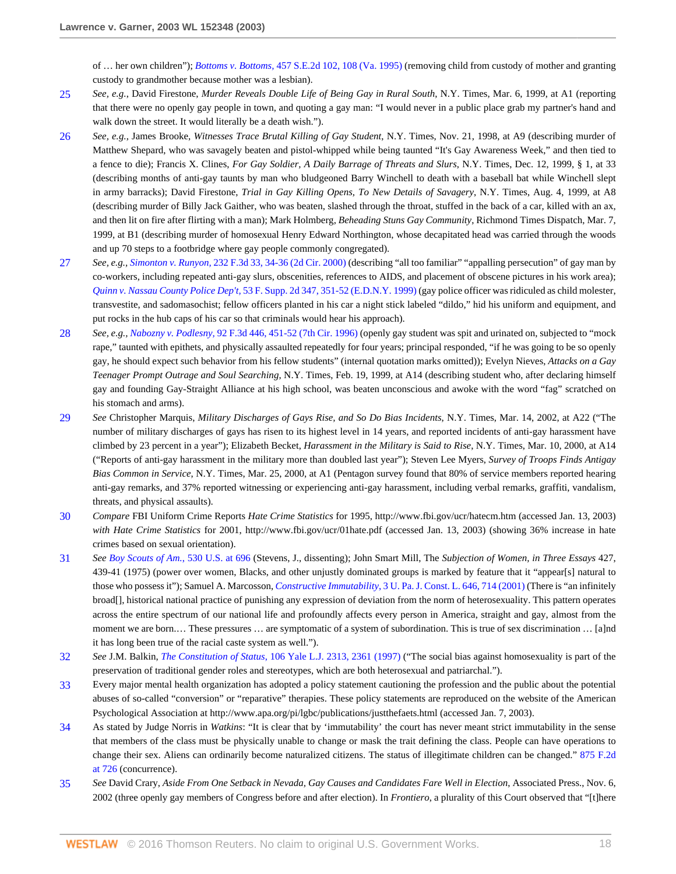of … her own children"); *Bottoms v. Bottoms,* [457 S.E.2d 102, 108 \(Va. 1995\)](http://www.westlaw.com/Link/Document/FullText?findType=Y&serNum=1995094502&pubNum=0000711&originatingDoc=I6d8184796bef11d890d59dc2e0cf7bd4&refType=RP&fi=co_pp_sp_711_108&originationContext=document&vr=3.0&rs=cblt1.0&transitionType=DocumentItem&contextData=(sc.RelatedInfo)#co_pp_sp_711_108) (removing child from custody of mother and granting custody to grandmother because mother was a lesbian).

- <span id="page-17-0"></span>[25](#page-10-6) *See, e.g.*, David Firestone, *Murder Reveals Double Life of Being Gay in Rural South*, N.Y. Times, Mar. 6, 1999, at A1 (reporting that there were no openly gay people in town, and quoting a gay man: "I would never in a public place grab my partner's hand and walk down the street. It would literally be a death wish.").
- <span id="page-17-1"></span>[26](#page-10-7) *See, e.g.*, James Brooke, *Witnesses Trace Brutal Killing of Gay Student*, N.Y. Times, Nov. 21, 1998, at A9 (describing murder of Matthew Shepard, who was savagely beaten and pistol-whipped while being taunted "It's Gay Awareness Week," and then tied to a fence to die); Francis X. Clines, *For Gay Soldier, A Daily Barrage of Threats and Slurs*, N.Y. Times, Dec. 12, 1999, § 1, at 33 (describing months of anti-gay taunts by man who bludgeoned Barry Winchell to death with a baseball bat while Winchell slept in army barracks); David Firestone, *Trial in Gay Killing Opens, To New Details of Savagery*, N.Y. Times, Aug. 4, 1999, at A8 (describing murder of Billy Jack Gaither, who was beaten, slashed through the throat, stuffed in the back of a car, killed with an ax, and then lit on fire after flirting with a man); Mark Holmberg, *Beheading Stuns Gay Community*, Richmond Times Dispatch, Mar. 7, 1999, at B1 (describing murder of homosexual Henry Edward Northington, whose decapitated head was carried through the woods and up 70 steps to a footbridge where gay people commonly congregated).
- <span id="page-17-2"></span>[27](#page-10-8) *See, e.g., Simonton v. Runyon,* [232 F.3d 33, 34-36 \(2d Cir. 2000\)](http://www.westlaw.com/Link/Document/FullText?findType=Y&serNum=2000579051&pubNum=0000506&originatingDoc=I6d8184796bef11d890d59dc2e0cf7bd4&refType=RP&fi=co_pp_sp_506_34&originationContext=document&vr=3.0&rs=cblt1.0&transitionType=DocumentItem&contextData=(sc.RelatedInfo)#co_pp_sp_506_34) (describing "all too familiar" "appalling persecution" of gay man by co-workers, including repeated anti-gay slurs, obscenities, references to AIDS, and placement of obscene pictures in his work area); *Quinn v. Nassau County Police Dep't,* [53 F. Supp. 2d 347, 351-52 \(E.D.N.Y. 1999\)](http://www.westlaw.com/Link/Document/FullText?findType=Y&serNum=1999157597&pubNum=0004637&originatingDoc=I6d8184796bef11d890d59dc2e0cf7bd4&refType=RP&fi=co_pp_sp_4637_351&originationContext=document&vr=3.0&rs=cblt1.0&transitionType=DocumentItem&contextData=(sc.RelatedInfo)#co_pp_sp_4637_351) (gay police officer was ridiculed as child molester, transvestite, and sadomasochist; fellow officers planted in his car a night stick labeled "dildo," hid his uniform and equipment, and put rocks in the hub caps of his car so that criminals would hear his approach).
- <span id="page-17-3"></span>[28](#page-10-9) *See, e.g., Nabozny v. Podlesny,* [92 F.3d 446, 451-52 \(7th Cir. 1996\)](http://www.westlaw.com/Link/Document/FullText?findType=Y&serNum=1996172779&pubNum=0000506&originatingDoc=I6d8184796bef11d890d59dc2e0cf7bd4&refType=RP&fi=co_pp_sp_506_451&originationContext=document&vr=3.0&rs=cblt1.0&transitionType=DocumentItem&contextData=(sc.RelatedInfo)#co_pp_sp_506_451) (openly gay student was spit and urinated on, subjected to "mock rape," taunted with epithets, and physically assaulted repeatedly for four years; principal responded, "if he was going to be so openly gay, he should expect such behavior from his fellow students" (internal quotation marks omitted)); Evelyn Nieves, *Attacks on a Gay Teenager Prompt Outrage and Soul Searching*, N.Y. Times, Feb. 19, 1999, at A14 (describing student who, after declaring himself gay and founding Gay-Straight Alliance at his high school, was beaten unconscious and awoke with the word "fag" scratched on his stomach and arms).
- <span id="page-17-4"></span>[29](#page-10-10) *See* Christopher Marquis, *Military Discharges of Gays Rise, and So Do Bias Incidents*, N.Y. Times, Mar. 14, 2002, at A22 ("The number of military discharges of gays has risen to its highest level in 14 years, and reported incidents of anti-gay harassment have climbed by 23 percent in a year"); Elizabeth Becket, *Harassment in the Military is Said to Rise*, N.Y. Times, Mar. 10, 2000, at A14 ("Reports of anti-gay harassment in the military more than doubled last year"); Steven Lee Myers, *Survey of Troops Finds Antigay Bias Common in Service*, N.Y. Times, Mar. 25, 2000, at A1 (Pentagon survey found that 80% of service members reported hearing anti-gay remarks, and 37% reported witnessing or experiencing anti-gay harassment, including verbal remarks, graffiti, vandalism, threats, and physical assaults).
- <span id="page-17-5"></span>[30](#page-10-11) *Compare* FBI Uniform Crime Reports *Hate Crime Statistics* for 1995, http://www.fbi.gov/ucr/hatecm.htm (accessed Jan. 13, 2003) *with Hate Crime Statistics* for 2001, http://www.fbi.gov/ucr/01hate.pdf (accessed Jan. 13, 2003) (showing 36% increase in hate crimes based on sexual orientation).
- <span id="page-17-6"></span>[31](#page-10-12) *See [Boy Scouts of Am.](http://www.westlaw.com/Link/Document/FullText?findType=Y&serNum=2000388910&pubNum=0000780&originatingDoc=I6d8184796bef11d890d59dc2e0cf7bd4&refType=RP&fi=co_pp_sp_780_696&originationContext=document&vr=3.0&rs=cblt1.0&transitionType=DocumentItem&contextData=(sc.RelatedInfo)#co_pp_sp_780_696)*, 530 U.S. at 696 (Stevens, J., dissenting); John Smart Mill, The *Subjection of Women, in Three Essays* 427, 439-41 (1975) (power over women, Blacks, and other unjustly dominated groups is marked by feature that it "appear[s] natural to those who possess it"); Samuel A. Marcosson, *Constructive Immutability*[, 3 U. Pa. J. Const. L. 646, 714 \(2001\)](http://www.westlaw.com/Link/Document/FullText?findType=Y&serNum=0284041689&pubNum=0119645&originatingDoc=I6d8184796bef11d890d59dc2e0cf7bd4&refType=LR&fi=co_pp_sp_119645_714&originationContext=document&vr=3.0&rs=cblt1.0&transitionType=DocumentItem&contextData=(sc.RelatedInfo)#co_pp_sp_119645_714) (There is "an infinitely broad[], historical national practice of punishing any expression of deviation from the norm of heterosexuality. This pattern operates across the entire spectrum of our national life and profoundly affects every person in America, straight and gay, almost from the moment we are born.… These pressures … are symptomatic of a system of subordination. This is true of sex discrimination … [a]nd it has long been true of the racial caste system as well.").
- <span id="page-17-7"></span>[32](#page-10-13) *See* J.M. Balkin, *The Constitution of Status*[, 106 Yale L.J. 2313, 2361 \(1997\)](http://www.westlaw.com/Link/Document/FullText?findType=Y&serNum=0107853642&pubNum=0001292&originatingDoc=I6d8184796bef11d890d59dc2e0cf7bd4&refType=LR&fi=co_pp_sp_1292_2361&originationContext=document&vr=3.0&rs=cblt1.0&transitionType=DocumentItem&contextData=(sc.RelatedInfo)#co_pp_sp_1292_2361) ("The social bias against homosexuality is part of the preservation of traditional gender roles and stereotypes, which are both heterosexual and patriarchal.").
- <span id="page-17-8"></span>[33](#page-11-0) Every major mental health organization has adopted a policy statement cautioning the profession and the public about the potential abuses of so-called "conversion" or "reparative" therapies. These policy statements are reproduced on the website of the American Psychological Association at http://www.apa.org/pi/lgbc/publications/justthefaets.html (accessed Jan. 7, 2003).
- <span id="page-17-9"></span>[34](#page-11-1) As stated by Judge Norris in *Watkins*: "It is clear that by 'immutability' the court has never meant strict immutability in the sense that members of the class must be physically unable to change or mask the trait defining the class. People can have operations to change their sex. Aliens can ordinarily become naturalized citizens. The status of illegitimate children can be changed." [875 F.2d](http://www.westlaw.com/Link/Document/FullText?findType=Y&serNum=1989065840&pubNum=0000350&originatingDoc=I6d8184796bef11d890d59dc2e0cf7bd4&refType=RP&fi=co_pp_sp_350_726&originationContext=document&vr=3.0&rs=cblt1.0&transitionType=DocumentItem&contextData=(sc.RelatedInfo)#co_pp_sp_350_726) [at 726](http://www.westlaw.com/Link/Document/FullText?findType=Y&serNum=1989065840&pubNum=0000350&originatingDoc=I6d8184796bef11d890d59dc2e0cf7bd4&refType=RP&fi=co_pp_sp_350_726&originationContext=document&vr=3.0&rs=cblt1.0&transitionType=DocumentItem&contextData=(sc.RelatedInfo)#co_pp_sp_350_726) (concurrence).
- <span id="page-17-10"></span>[35](#page-11-2) *See* David Crary, *Aside From One Setback in Nevada, Gay Causes and Candidates Fare Well in Election*, Associated Press., Nov. 6, 2002 (three openly gay members of Congress before and after election). In *Frontiero*, a plurality of this Court observed that "[t]here